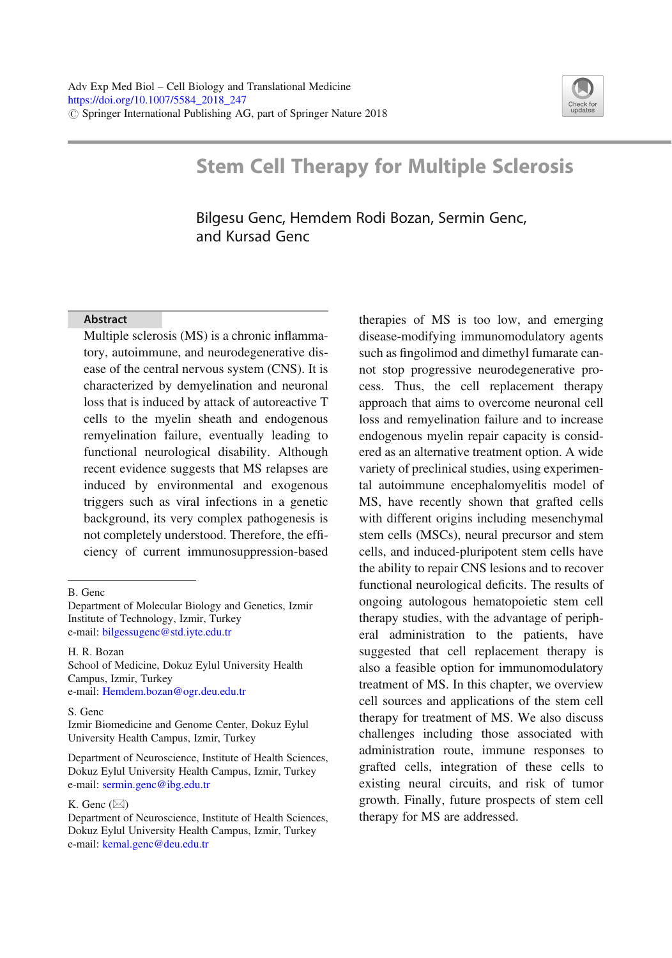

# Stem Cell Therapy for Multiple Sclerosis

Bilgesu Genc, Hemdem Rodi Bozan, Sermin Genc, and Kursad Genc

#### Abstract

Multiple sclerosis (MS) is a chronic inflammatory, autoimmune, and neurodegenerative disease of the central nervous system (CNS). It is characterized by demyelination and neuronal loss that is induced by attack of autoreactive T cells to the myelin sheath and endogenous remyelination failure, eventually leading to functional neurological disability. Although recent evidence suggests that MS relapses are induced by environmental and exogenous triggers such as viral infections in a genetic background, its very complex pathogenesis is not completely understood. Therefore, the efficiency of current immunosuppression-based

H. R. Bozan

School of Medicine, Dokuz Eylul University Health Campus, Izmir, Turkey e-mail: [Hemdem.bozan@ogr.deu.edu.tr](mailto:Hemdem.bozan@ogr.deu.edu.tr)

S. Genc

Izmir Biomedicine and Genome Center, Dokuz Eylul University Health Campus, Izmir, Turkey

Department of Neuroscience, Institute of Health Sciences, Dokuz Eylul University Health Campus, Izmir, Turkey e-mail: [sermin.genc@ibg.edu.tr](mailto:sermin.genc@ibg.edu.tr)

therapies of MS is too low, and emerging disease-modifying immunomodulatory agents such as fingolimod and dimethyl fumarate cannot stop progressive neurodegenerative process. Thus, the cell replacement therapy approach that aims to overcome neuronal cell loss and remyelination failure and to increase endogenous myelin repair capacity is considered as an alternative treatment option. A wide variety of preclinical studies, using experimental autoimmune encephalomyelitis model of MS, have recently shown that grafted cells with different origins including mesenchymal stem cells (MSCs), neural precursor and stem cells, and induced-pluripotent stem cells have the ability to repair CNS lesions and to recover functional neurological deficits. The results of ongoing autologous hematopoietic stem cell therapy studies, with the advantage of peripheral administration to the patients, have suggested that cell replacement therapy is also a feasible option for immunomodulatory treatment of MS. In this chapter, we overview cell sources and applications of the stem cell therapy for treatment of MS. We also discuss challenges including those associated with administration route, immune responses to grafted cells, integration of these cells to existing neural circuits, and risk of tumor growth. Finally, future prospects of stem cell therapy for MS are addressed.

B. Genc

Department of Molecular Biology and Genetics, Izmir Institute of Technology, Izmir, Turkey e-mail: [bilgessugenc@std.iyte.edu.tr](mailto:bilgessugenc@std.iyte.edu.tr)

K. Genc  $(\boxtimes)$ 

Department of Neuroscience, Institute of Health Sciences, Dokuz Eylul University Health Campus, Izmir, Turkey e-mail: [kemal.genc@deu.edu.tr](mailto:kemal.genc@deu.edu.tr)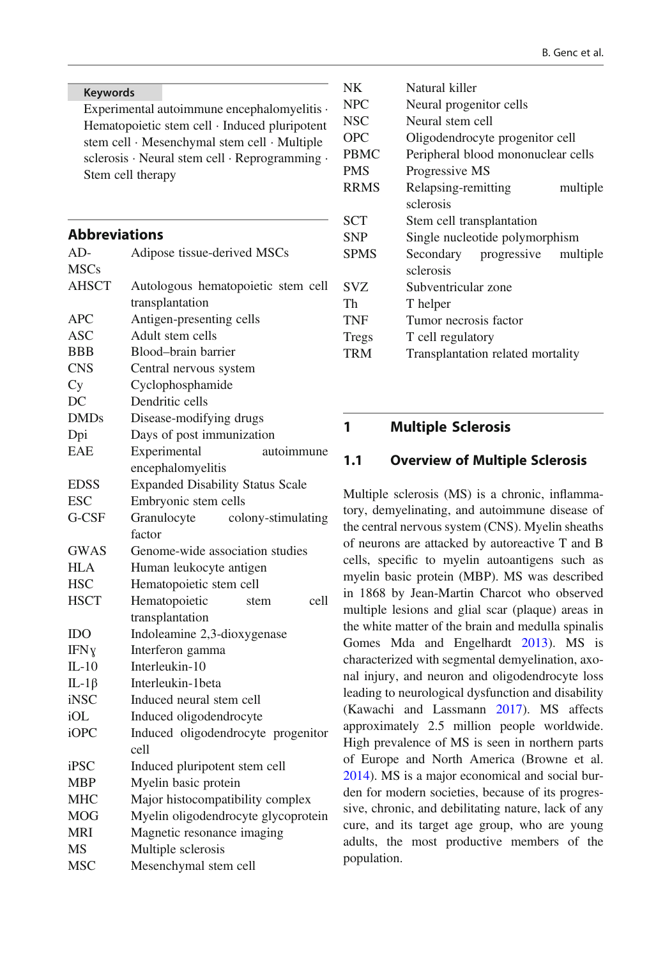### Keywords

Experimental autoimmune encephalomyelitis · Hematopoietic stem cell · Induced pluripotent stem cell · Mesenchymal stem cell · Multiple sclerosis · Neural stem cell · Reprogramming · Stem cell therapy

### Abbreviations

| $AD-$                  | Adipose tissue-derived MSCs             |
|------------------------|-----------------------------------------|
| <b>MSCs</b>            |                                         |
| <b>AHSCT</b>           | Autologous hematopoietic stem cell      |
|                        | transplantation                         |
| <b>APC</b>             | Antigen-presenting cells                |
| ASC                    | Adult stem cells                        |
| <b>BBB</b>             | Blood–brain barrier                     |
| <b>CNS</b>             | Central nervous system                  |
| Cy                     | Cyclophosphamide                        |
| DC                     | Dendritic cells                         |
| <b>DMDs</b>            | Disease-modifying drugs                 |
| Dpi                    | Days of post immunization               |
| <b>EAE</b>             | Experimental<br>autoimmune              |
|                        | encephalomyelitis                       |
| <b>EDSS</b>            | <b>Expanded Disability Status Scale</b> |
| <b>ESC</b>             | Embryonic stem cells                    |
| G-CSF                  | Granulocyte<br>colony-stimulating       |
|                        | factor                                  |
| <b>GWAS</b>            | Genome-wide association studies         |
| <b>HLA</b>             | Human leukocyte antigen                 |
| <b>HSC</b>             | Hematopoietic stem cell                 |
| <b>HSCT</b>            | Hematopoietic<br>cell<br>stem           |
|                        | transplantation                         |
| <b>IDO</b>             | Indoleamine 2,3-dioxygenase             |
| <b>IFN<sub>Y</sub></b> | Interferon gamma                        |
| $IL-10$                | Interleukin-10                          |
| $IL-1\beta$            | Interleukin-1 beta                      |
| iNSC                   | Induced neural stem cell                |
| iOL                    | Induced oligodendrocyte                 |
| iOPC                   | Induced oligodendrocyte progenitor      |
|                        | cell                                    |
| iPSC                   | Induced pluripotent stem cell           |
| <b>MBP</b>             | Myelin basic protein                    |
| <b>MHC</b>             | Major histocompatibility complex        |
| <b>MOG</b>             | Myelin oligodendrocyte glycoprotein     |
| <b>MRI</b>             | Magnetic resonance imaging              |
| MS                     | Multiple sclerosis                      |
| <b>MSC</b>             | Mesenchymal stem cell                   |

| <b>NK</b>   | Natural killer                     |
|-------------|------------------------------------|
| <b>NPC</b>  | Neural progenitor cells            |
| <b>NSC</b>  | Neural stem cell                   |
| <b>OPC</b>  | Oligodendrocyte progenitor cell    |
| <b>PBMC</b> | Peripheral blood mononuclear cells |
| <b>PMS</b>  | Progressive MS                     |
| <b>RRMS</b> | Relapsing-remitting<br>multiple    |
|             | sclerosis                          |
| SCT         | Stem cell transplantation          |
| <b>SNP</b>  | Single nucleotide polymorphism     |
| <b>SPMS</b> | Secondary progressive<br>multiple  |
|             | sclerosis                          |
| <b>SVZ</b>  | Subventricular zone                |
| Th          | T helper                           |
| TNF         | Tumor necrosis factor              |
| Tregs       | T cell regulatory                  |
| TRM         | Transplantation related mortality  |

### 1 Multiple Sclerosis

### 1.1 Overview of Multiple Sclerosis

Multiple sclerosis (MS) is a chronic, inflammatory, demyelinating, and autoimmune disease of the central nervous system (CNS). Myelin sheaths of neurons are attacked by autoreactive T and B cells, specific to myelin autoantigens such as myelin basic protein (MBP). MS was described in 1868 by Jean-Martin Charcot who observed multiple lesions and glial scar (plaque) areas in the white matter of the brain and medulla spinalis Gomes Mda and Engelhardt [2013\)](#page-25-0). MS is characterized with segmental demyelination, axonal injury, and neuron and oligodendrocyte loss leading to neurological dysfunction and disability (Kawachi and Lassmann [2017\)](#page-26-0). MS affects approximately 2.5 million people worldwide. High prevalence of MS is seen in northern parts of Europe and North America (Browne et al. [2014\)](#page-23-0). MS is a major economical and social burden for modern societies, because of its progressive, chronic, and debilitating nature, lack of any cure, and its target age group, who are young adults, the most productive members of the population.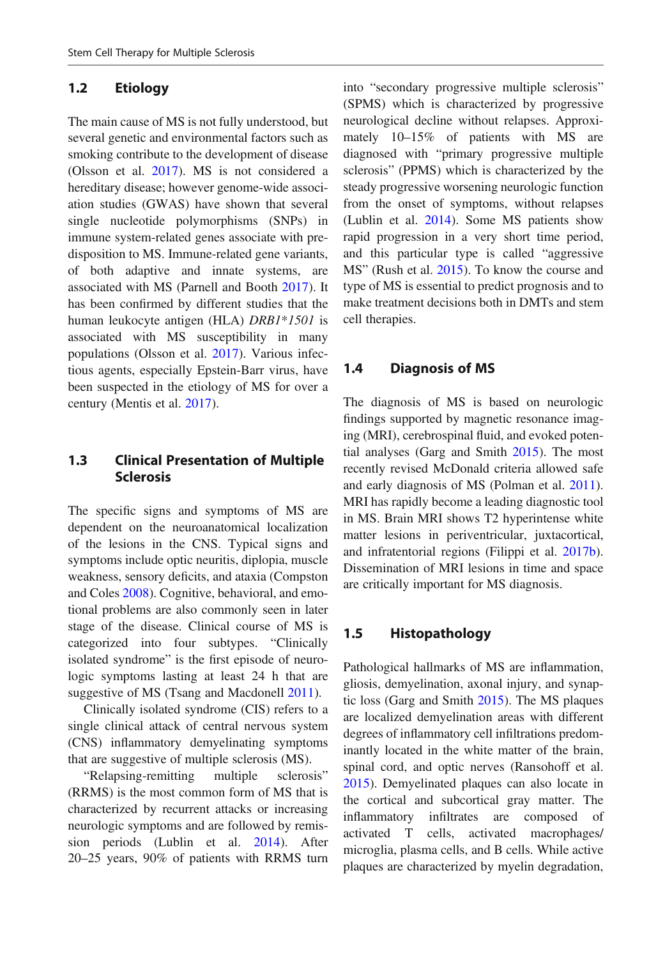# 1.2 Etiology

The main cause of MS is not fully understood, but several genetic and environmental factors such as smoking contribute to the development of disease (Olsson et al. [2017](#page-27-0)). MS is not considered a hereditary disease; however genome-wide association studies (GWAS) have shown that several single nucleotide polymorphisms (SNPs) in immune system-related genes associate with predisposition to MS. Immune-related gene variants, of both adaptive and innate systems, are associated with MS (Parnell and Booth [2017\)](#page-27-1). It has been confirmed by different studies that the human leukocyte antigen (HLA) DRB1\*1501 is associated with MS susceptibility in many populations (Olsson et al. [2017](#page-27-0)). Various infectious agents, especially Epstein-Barr virus, have been suspected in the etiology of MS for over a century (Mentis et al. [2017](#page-27-2)).

# 1.3 Clinical Presentation of Multiple **Sclerosis**

The specific signs and symptoms of MS are dependent on the neuroanatomical localization of the lesions in the CNS. Typical signs and symptoms include optic neuritis, diplopia, muscle weakness, sensory deficits, and ataxia (Compston and Coles [2008](#page-24-0)). Cognitive, behavioral, and emotional problems are also commonly seen in later stage of the disease. Clinical course of MS is categorized into four subtypes. "Clinically isolated syndrome" is the first episode of neurologic symptoms lasting at least 24 h that are suggestive of MS (Tsang and Macdonell [2011](#page-29-0)).

Clinically isolated syndrome (CIS) refers to a single clinical attack of central nervous system (CNS) inflammatory demyelinating symptoms that are suggestive of multiple sclerosis (MS).

"Relapsing-remitting multiple sclerosis" (RRMS) is the most common form of MS that is characterized by recurrent attacks or increasing neurologic symptoms and are followed by remission periods (Lublin et al. [2014\)](#page-26-1). After 20–25 years, 90% of patients with RRMS turn

into "secondary progressive multiple sclerosis" (SPMS) which is characterized by progressive neurological decline without relapses. Approximately 10–15% of patients with MS are diagnosed with "primary progressive multiple sclerosis" (PPMS) which is characterized by the steady progressive worsening neurologic function from the onset of symptoms, without relapses (Lublin et al. [2014](#page-26-1)). Some MS patients show rapid progression in a very short time period, and this particular type is called "aggressive MS" (Rush et al. [2015](#page-28-0)). To know the course and type of MS is essential to predict prognosis and to make treatment decisions both in DMTs and stem cell therapies.

#### 1.4 Diagnosis of MS

The diagnosis of MS is based on neurologic findings supported by magnetic resonance imaging (MRI), cerebrospinal fluid, and evoked potential analyses (Garg and Smith [2015](#page-25-1)). The most recently revised McDonald criteria allowed safe and early diagnosis of MS (Polman et al. [2011\)](#page-28-1). MRI has rapidly become a leading diagnostic tool in MS. Brain MRI shows T2 hyperintense white matter lesions in periventricular, juxtacortical, and infratentorial regions (Filippi et al. [2017b\)](#page-25-2). Dissemination of MRI lesions in time and space are critically important for MS diagnosis.

# 1.5 Histopathology

Pathological hallmarks of MS are inflammation, gliosis, demyelination, axonal injury, and synaptic loss (Garg and Smith [2015\)](#page-25-1). The MS plaques are localized demyelination areas with different degrees of inflammatory cell infiltrations predominantly located in the white matter of the brain, spinal cord, and optic nerves (Ransohoff et al. [2015\)](#page-28-2). Demyelinated plaques can also locate in the cortical and subcortical gray matter. The inflammatory infiltrates are composed of activated T cells, activated macrophages/ microglia, plasma cells, and B cells. While active plaques are characterized by myelin degradation,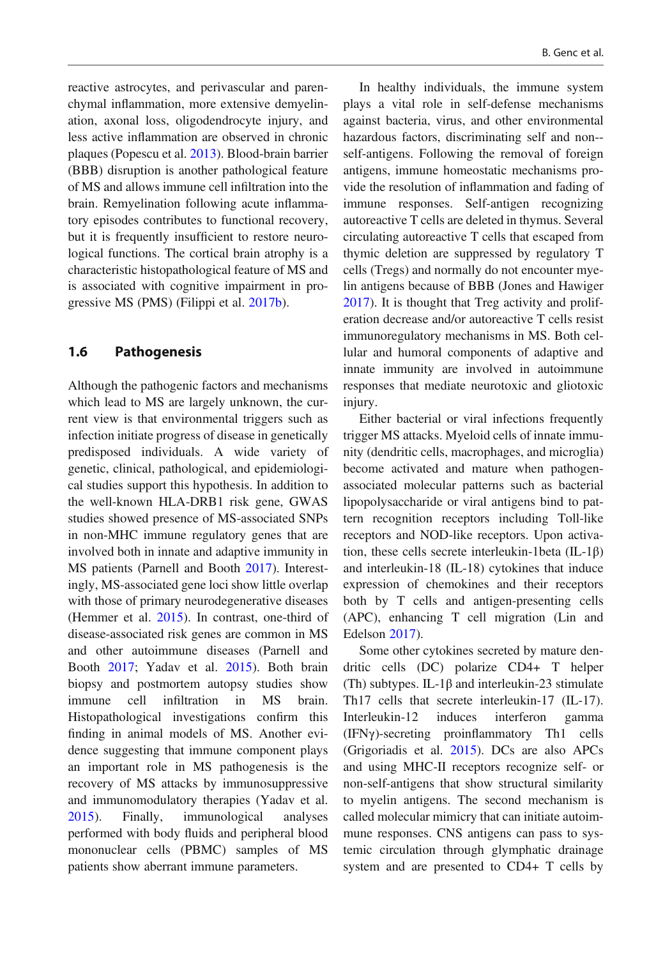reactive astrocytes, and perivascular and parenchymal inflammation, more extensive demyelination, axonal loss, oligodendrocyte injury, and less active inflammation are observed in chronic plaques (Popescu et al. [2013\)](#page-28-3). Blood-brain barrier (BBB) disruption is another pathological feature of MS and allows immune cell infiltration into the brain. Remyelination following acute inflammatory episodes contributes to functional recovery, but it is frequently insufficient to restore neurological functions. The cortical brain atrophy is a characteristic histopathological feature of MS and is associated with cognitive impairment in progressive MS (PMS) (Filippi et al. [2017b\)](#page-25-2).

#### 1.6 Pathogenesis

Although the pathogenic factors and mechanisms which lead to MS are largely unknown, the current view is that environmental triggers such as infection initiate progress of disease in genetically predisposed individuals. A wide variety of genetic, clinical, pathological, and epidemiological studies support this hypothesis. In addition to the well-known HLA-DRB1 risk gene, GWAS studies showed presence of MS-associated SNPs in non-MHC immune regulatory genes that are involved both in innate and adaptive immunity in MS patients (Parnell and Booth [2017](#page-27-1)). Interestingly, MS-associated gene loci show little overlap with those of primary neurodegenerative diseases (Hemmer et al. [2015\)](#page-25-3). In contrast, one-third of disease-associated risk genes are common in MS and other autoimmune diseases (Parnell and Booth [2017](#page-27-1); Yadav et al. [2015\)](#page-29-1). Both brain biopsy and postmortem autopsy studies show immune cell infiltration in MS brain. Histopathological investigations confirm this finding in animal models of MS. Another evidence suggesting that immune component plays an important role in MS pathogenesis is the recovery of MS attacks by immunosuppressive and immunomodulatory therapies (Yadav et al. [2015\)](#page-29-1). Finally, immunological analyses performed with body fluids and peripheral blood mononuclear cells (PBMC) samples of MS patients show aberrant immune parameters.

In healthy individuals, the immune system plays a vital role in self-defense mechanisms against bacteria, virus, and other environmental hazardous factors, discriminating self and non- self-antigens. Following the removal of foreign antigens, immune homeostatic mechanisms provide the resolution of inflammation and fading of immune responses. Self-antigen recognizing autoreactive T cells are deleted in thymus. Several circulating autoreactive T cells that escaped from thymic deletion are suppressed by regulatory T cells (Tregs) and normally do not encounter myelin antigens because of BBB (Jones and Hawiger [2017\)](#page-25-4). It is thought that Treg activity and proliferation decrease and/or autoreactive T cells resist immunoregulatory mechanisms in MS. Both cellular and humoral components of adaptive and innate immunity are involved in autoimmune responses that mediate neurotoxic and gliotoxic injury.

Either bacterial or viral infections frequently trigger MS attacks. Myeloid cells of innate immunity (dendritic cells, macrophages, and microglia) become activated and mature when pathogenassociated molecular patterns such as bacterial lipopolysaccharide or viral antigens bind to pattern recognition receptors including Toll-like receptors and NOD-like receptors. Upon activation, these cells secrete interleukin-1beta (IL-1β) and interleukin-18 (IL-18) cytokines that induce expression of chemokines and their receptors both by T cells and antigen-presenting cells (APC), enhancing T cell migration (Lin and Edelson [2017\)](#page-26-2).

Some other cytokines secreted by mature dendritic cells (DC) polarize CD4+ T helper (Th) subtypes. IL-1 $\beta$  and interleukin-23 stimulate Th17 cells that secrete interleukin-17 (IL-17). Interleukin-12 induces interferon gamma (IFNγ)-secreting proinflammatory Th1 cells (Grigoriadis et al. [2015](#page-25-5)). DCs are also APCs and using MHC-II receptors recognize self- or non-self-antigens that show structural similarity to myelin antigens. The second mechanism is called molecular mimicry that can initiate autoimmune responses. CNS antigens can pass to systemic circulation through glymphatic drainage system and are presented to CD4+ T cells by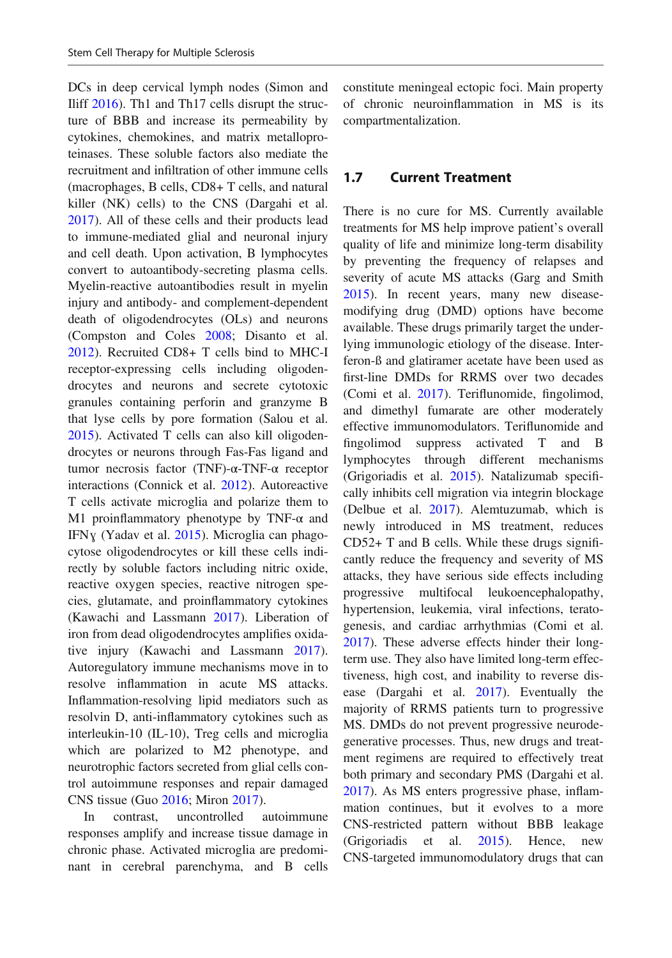DCs in deep cervical lymph nodes (Simon and Iliff [2016](#page-28-4)). Th1 and Th17 cells disrupt the structure of BBB and increase its permeability by cytokines, chemokines, and matrix metalloproteinases. These soluble factors also mediate the recruitment and infiltration of other immune cells (macrophages, B cells, CD8+ T cells, and natural killer (NK) cells) to the CNS (Dargahi et al. [2017\)](#page-24-1). All of these cells and their products lead to immune-mediated glial and neuronal injury and cell death. Upon activation, B lymphocytes convert to autoantibody-secreting plasma cells. Myelin-reactive autoantibodies result in myelin injury and antibody- and complement-dependent death of oligodendrocytes (OLs) and neurons (Compston and Coles [2008](#page-24-0); Disanto et al. [2012\)](#page-24-2). Recruited CD8+ T cells bind to MHC-I receptor-expressing cells including oligodendrocytes and neurons and secrete cytotoxic granules containing perforin and granzyme B that lyse cells by pore formation (Salou et al. [2015\)](#page-28-5). Activated T cells can also kill oligodendrocytes or neurons through Fas-Fas ligand and tumor necrosis factor (TNF)-α-TNF-α receptor interactions (Connick et al. [2012](#page-24-3)). Autoreactive T cells activate microglia and polarize them to M1 proinflammatory phenotype by TNF-α and IFNɣ (Yadav et al. [2015](#page-29-1)). Microglia can phagocytose oligodendrocytes or kill these cells indirectly by soluble factors including nitric oxide, reactive oxygen species, reactive nitrogen species, glutamate, and proinflammatory cytokines (Kawachi and Lassmann [2017\)](#page-26-0). Liberation of iron from dead oligodendrocytes amplifies oxidative injury (Kawachi and Lassmann [2017\)](#page-26-0). Autoregulatory immune mechanisms move in to resolve inflammation in acute MS attacks. Inflammation-resolving lipid mediators such as resolvin D, anti-inflammatory cytokines such as interleukin-10 (IL-10), Treg cells and microglia which are polarized to M2 phenotype, and neurotrophic factors secreted from glial cells control autoimmune responses and repair damaged CNS tissue (Guo [2016;](#page-25-6) Miron [2017\)](#page-27-3).

In contrast, uncontrolled autoimmune responses amplify and increase tissue damage in chronic phase. Activated microglia are predominant in cerebral parenchyma, and B cells

constitute meningeal ectopic foci. Main property of chronic neuroinflammation in MS is its compartmentalization.

# 1.7 Current Treatment

There is no cure for MS. Currently available treatments for MS help improve patient's overall quality of life and minimize long-term disability by preventing the frequency of relapses and severity of acute MS attacks (Garg and Smith [2015\)](#page-25-1). In recent years, many new diseasemodifying drug (DMD) options have become available. These drugs primarily target the underlying immunologic etiology of the disease. Interferon-ß and glatiramer acetate have been used as first-line DMDs for RRMS over two decades (Comi et al. [2017\)](#page-24-4). Teriflunomide, fingolimod, and dimethyl fumarate are other moderately effective immunomodulators. Teriflunomide and fingolimod suppress activated T and B lymphocytes through different mechanisms (Grigoriadis et al. [2015](#page-25-5)). Natalizumab specifically inhibits cell migration via integrin blockage (Delbue et al. [2017](#page-24-5)). Alemtuzumab, which is newly introduced in MS treatment, reduces CD52+ T and B cells. While these drugs significantly reduce the frequency and severity of MS attacks, they have serious side effects including progressive multifocal leukoencephalopathy, hypertension, leukemia, viral infections, teratogenesis, and cardiac arrhythmias (Comi et al. [2017\)](#page-24-4). These adverse effects hinder their longterm use. They also have limited long-term effectiveness, high cost, and inability to reverse disease (Dargahi et al. [2017](#page-24-1)). Eventually the majority of RRMS patients turn to progressive MS. DMDs do not prevent progressive neurodegenerative processes. Thus, new drugs and treatment regimens are required to effectively treat both primary and secondary PMS (Dargahi et al. [2017\)](#page-24-1). As MS enters progressive phase, inflammation continues, but it evolves to a more CNS-restricted pattern without BBB leakage (Grigoriadis et al. [2015](#page-25-5)). Hence, new CNS-targeted immunomodulatory drugs that can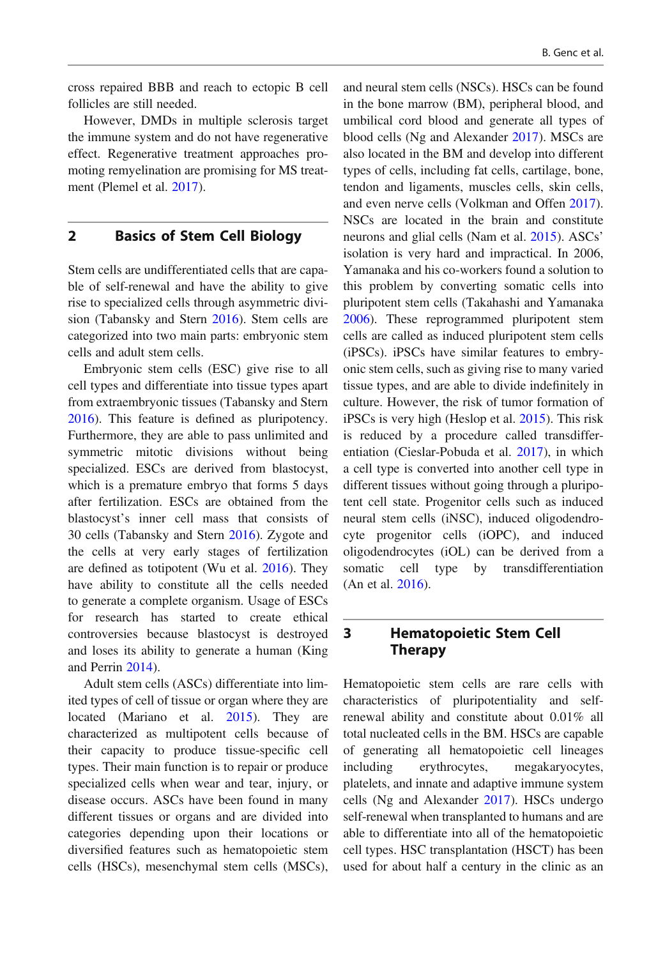cross repaired BBB and reach to ectopic B cell follicles are still needed.

However, DMDs in multiple sclerosis target the immune system and do not have regenerative effect. Regenerative treatment approaches promoting remyelination are promising for MS treatment (Plemel et al. [2017](#page-28-6)).

# 2 Basics of Stem Cell Biology

Stem cells are undifferentiated cells that are capable of self-renewal and have the ability to give rise to specialized cells through asymmetric division (Tabansky and Stern [2016](#page-29-2)). Stem cells are categorized into two main parts: embryonic stem cells and adult stem cells.

Embryonic stem cells (ESC) give rise to all cell types and differentiate into tissue types apart from extraembryonic tissues (Tabansky and Stern [2016\)](#page-29-2). This feature is defined as pluripotency. Furthermore, they are able to pass unlimited and symmetric mitotic divisions without being specialized. ESCs are derived from blastocyst, which is a premature embryo that forms 5 days after fertilization. ESCs are obtained from the blastocyst's inner cell mass that consists of 30 cells (Tabansky and Stern [2016](#page-29-2)). Zygote and the cells at very early stages of fertilization are defined as totipotent (Wu et al. [2016](#page-29-3)). They have ability to constitute all the cells needed to generate a complete organism. Usage of ESCs for research has started to create ethical controversies because blastocyst is destroyed and loses its ability to generate a human (King and Perrin [2014\)](#page-26-3).

Adult stem cells (ASCs) differentiate into limited types of cell of tissue or organ where they are located (Mariano et al. [2015\)](#page-26-4). They are characterized as multipotent cells because of their capacity to produce tissue-specific cell types. Their main function is to repair or produce specialized cells when wear and tear, injury, or disease occurs. ASCs have been found in many different tissues or organs and are divided into categories depending upon their locations or diversified features such as hematopoietic stem cells (HSCs), mesenchymal stem cells (MSCs),

and neural stem cells (NSCs). HSCs can be found in the bone marrow (BM), peripheral blood, and umbilical cord blood and generate all types of blood cells (Ng and Alexander [2017\)](#page-27-4). MSCs are also located in the BM and develop into different types of cells, including fat cells, cartilage, bone, tendon and ligaments, muscles cells, skin cells, and even nerve cells (Volkman and Offen [2017\)](#page-29-4). NSCs are located in the brain and constitute neurons and glial cells (Nam et al. [2015\)](#page-27-5). ASCs' isolation is very hard and impractical. In 2006, Yamanaka and his co-workers found a solution to this problem by converting somatic cells into pluripotent stem cells (Takahashi and Yamanaka [2006\)](#page-29-5). These reprogrammed pluripotent stem cells are called as induced pluripotent stem cells (iPSCs). iPSCs have similar features to embryonic stem cells, such as giving rise to many varied tissue types, and are able to divide indefinitely in culture. However, the risk of tumor formation of iPSCs is very high (Heslop et al. [2015](#page-25-7)). This risk is reduced by a procedure called transdifferentiation (Cieslar-Pobuda et al. [2017](#page-24-6)), in which a cell type is converted into another cell type in different tissues without going through a pluripotent cell state. Progenitor cells such as induced neural stem cells (iNSC), induced oligodendrocyte progenitor cells (iOPC), and induced oligodendrocytes (iOL) can be derived from a somatic cell type by transdifferentiation (An et al. [2016](#page-23-1)).

# 3 Hematopoietic Stem Cell Therapy

Hematopoietic stem cells are rare cells with characteristics of pluripotentiality and selfrenewal ability and constitute about 0.01% all total nucleated cells in the BM. HSCs are capable of generating all hematopoietic cell lineages including erythrocytes, megakaryocytes, platelets, and innate and adaptive immune system cells (Ng and Alexander [2017\)](#page-27-4). HSCs undergo self-renewal when transplanted to humans and are able to differentiate into all of the hematopoietic cell types. HSC transplantation (HSCT) has been used for about half a century in the clinic as an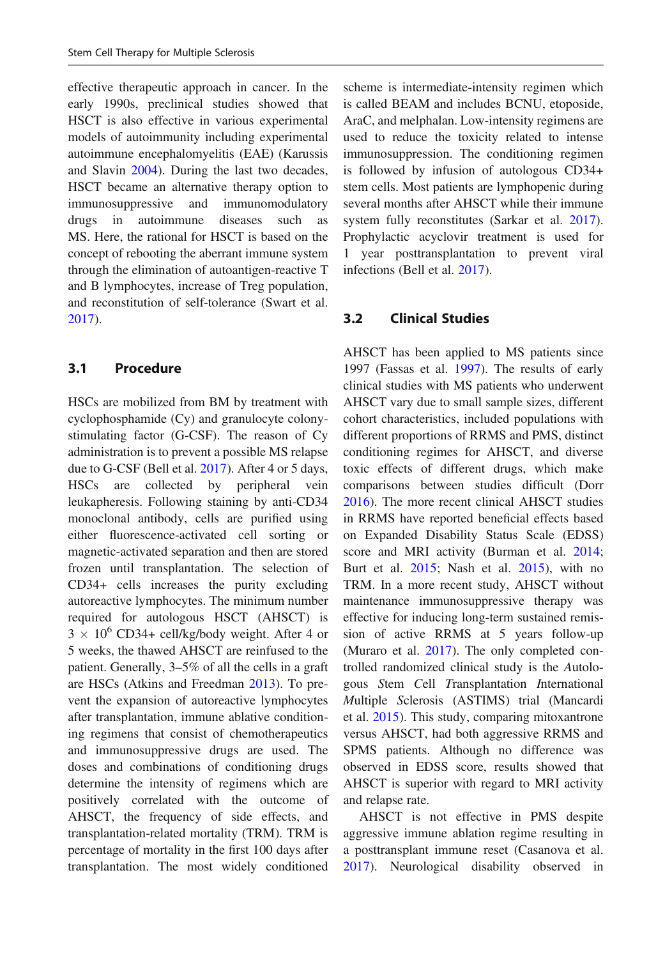effective therapeutic approach in cancer. In the early 1990s, preclinical studies showed that HSCT is also effective in various experimental models of autoimmunity including experimental autoimmune encephalomyelitis (EAE) (Karussis and Slavin [2004\)](#page-26-2). During the last two decades, HSCT became an alternative therapy option to immunosuppressive and immunomodulatory drugs in autoimmune diseases such as MS. Here, the rational for HSCT is based on the concept of rebooting the aberrant immune system through the elimination of autoantigen-reactive T and B lymphocytes, increase of Treg population, and reconstitution of self-tolerance (Swart et al. [2017\)](#page-29-6).

### 3.1 Procedure

HSCs are mobilized from BM by treatment with cyclophosphamide (Cy) and granulocyte colonystimulating factor (G-CSF). The reason of Cy administration is to prevent a possible MS relapse due to G-CSF (Bell et al. [2017](#page-23-2)). After 4 or 5 days, HSCs are collected by peripheral vein leukapheresis. Following staining by anti-CD34 monoclonal antibody, cells are purified using either fluorescence-activated cell sorting or magnetic-activated separation and then are stored frozen until transplantation. The selection of CD34+ cells increases the purity excluding autoreactive lymphocytes. The minimum number required for autologous HSCT (AHSCT) is  $3 \times 10^6$  CD34+ cell/kg/body weight. After 4 or 5 weeks, the thawed AHSCT are reinfused to the patient. Generally, 3–5% of all the cells in a graft are HSCs (Atkins and Freedman [2013](#page-23-3)). To prevent the expansion of autoreactive lymphocytes after transplantation, immune ablative conditioning regimens that consist of chemotherapeutics and immunosuppressive drugs are used. The doses and combinations of conditioning drugs determine the intensity of regimens which are positively correlated with the outcome of AHSCT, the frequency of side effects, and transplantation-related mortality (TRM). TRM is percentage of mortality in the first 100 days after transplantation. The most widely conditioned

scheme is intermediate-intensity regimen which is called BEAM and includes BCNU, etoposide, AraC, and melphalan. Low-intensity regimens are used to reduce the toxicity related to intense immunosuppression. The conditioning regimen is followed by infusion of autologous CD34+ stem cells. Most patients are lymphopenic during several months after AHSCT while their immune system fully reconstitutes (Sarkar et al. [2017\)](#page-28-7). Prophylactic acyclovir treatment is used for 1 year posttransplantation to prevent viral infections (Bell et al. [2017](#page-23-2)).

### 3.2 Clinical Studies

AHSCT has been applied to MS patients since 1997 (Fassas et al. [1997](#page-24-7)). The results of early clinical studies with MS patients who underwent AHSCT vary due to small sample sizes, different cohort characteristics, included populations with different proportions of RRMS and PMS, distinct conditioning regimes for AHSCT, and diverse toxic effects of different drugs, which make comparisons between studies difficult (Dorr [2016\)](#page-24-8). The more recent clinical AHSCT studies in RRMS have reported beneficial effects based on Expanded Disability Status Scale (EDSS) score and MRI activity (Burman et al. [2014;](#page-23-4) Burt et al. [2015](#page-23-5); Nash et al. [2015](#page-27-6)), with no TRM. In a more recent study, AHSCT without maintenance immunosuppressive therapy was effective for inducing long-term sustained remission of active RRMS at 5 years follow-up (Muraro et al. [2017\)](#page-27-7). The only completed controlled randomized clinical study is the Autologous Stem Cell Transplantation International Multiple Sclerosis (ASTIMS) trial (Mancardi et al. [2015](#page-26-5)). This study, comparing mitoxantrone versus AHSCT, had both aggressive RRMS and SPMS patients. Although no difference was observed in EDSS score, results showed that AHSCT is superior with regard to MRI activity and relapse rate.

AHSCT is not effective in PMS despite aggressive immune ablation regime resulting in a posttransplant immune reset (Casanova et al. [2017\)](#page-24-9). Neurological disability observed in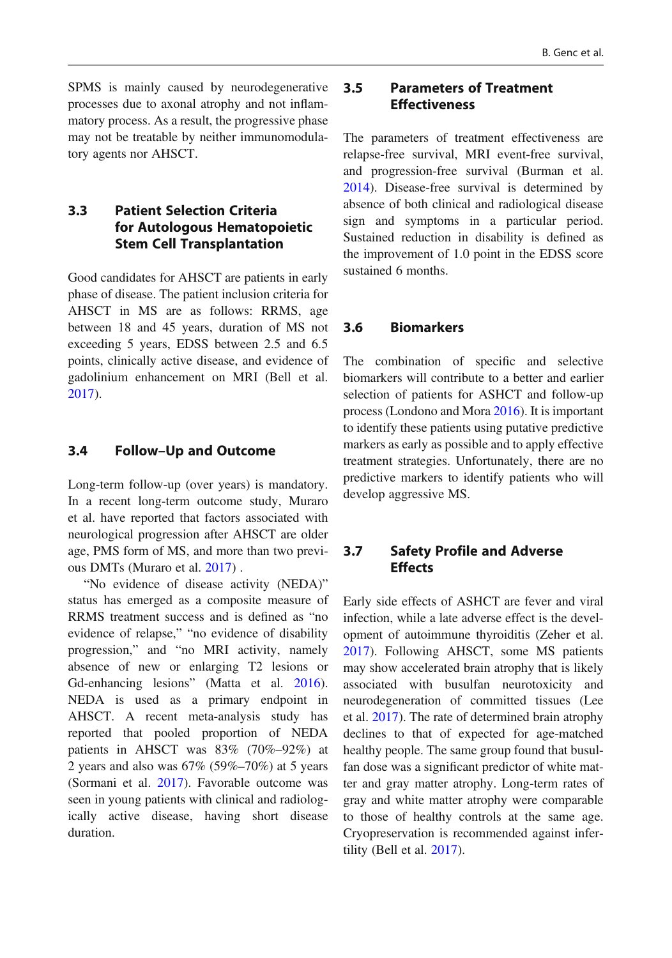SPMS is mainly caused by neurodegenerative processes due to axonal atrophy and not inflammatory process. As a result, the progressive phase may not be treatable by neither immunomodulatory agents nor AHSCT.

# 3.3 Patient Selection Criteria for Autologous Hematopoietic Stem Cell Transplantation

Good candidates for AHSCT are patients in early phase of disease. The patient inclusion criteria for AHSCT in MS are as follows: RRMS, age between 18 and 45 years, duration of MS not exceeding 5 years, EDSS between 2.5 and 6.5 points, clinically active disease, and evidence of gadolinium enhancement on MRI (Bell et al. [2017\)](#page-23-2).

#### 3.4 Follow–Up and Outcome

Long-term follow-up (over years) is mandatory. In a recent long-term outcome study, Muraro et al. have reported that factors associated with neurological progression after AHSCT are older age, PMS form of MS, and more than two previous DMTs (Muraro et al. [2017](#page-27-7)) .

"No evidence of disease activity (NEDA)" status has emerged as a composite measure of RRMS treatment success and is defined as "no evidence of relapse," "no evidence of disability progression," and "no MRI activity, namely absence of new or enlarging T2 lesions or Gd-enhancing lesions" (Matta et al. [2016\)](#page-27-8). NEDA is used as a primary endpoint in AHSCT. A recent meta-analysis study has reported that pooled proportion of NEDA patients in AHSCT was 83% (70%–92%) at 2 years and also was 67% (59%–70%) at 5 years (Sormani et al. [2017](#page-28-8)). Favorable outcome was seen in young patients with clinical and radiologically active disease, having short disease duration.

# 3.5 Parameters of Treatment **Effectiveness**

The parameters of treatment effectiveness are relapse-free survival, MRI event-free survival, and progression-free survival (Burman et al. [2014\)](#page-23-4). Disease-free survival is determined by absence of both clinical and radiological disease sign and symptoms in a particular period. Sustained reduction in disability is defined as the improvement of 1.0 point in the EDSS score sustained 6 months.

# 3.6 Biomarkers

The combination of specific and selective biomarkers will contribute to a better and earlier selection of patients for ASHCT and follow-up process (Londono and Mora [2016\)](#page-26-6). It is important to identify these patients using putative predictive markers as early as possible and to apply effective treatment strategies. Unfortunately, there are no predictive markers to identify patients who will develop aggressive MS.

# 3.7 Safety Profile and Adverse Effects

Early side effects of ASHCT are fever and viral infection, while a late adverse effect is the development of autoimmune thyroiditis (Zeher et al. [2017\)](#page-29-7). Following AHSCT, some MS patients may show accelerated brain atrophy that is likely associated with busulfan neurotoxicity and neurodegeneration of committed tissues (Lee et al. [2017\)](#page-26-7). The rate of determined brain atrophy declines to that of expected for age-matched healthy people. The same group found that busulfan dose was a significant predictor of white matter and gray matter atrophy. Long-term rates of gray and white matter atrophy were comparable to those of healthy controls at the same age. Cryopreservation is recommended against infertility (Bell et al. [2017\)](#page-23-2).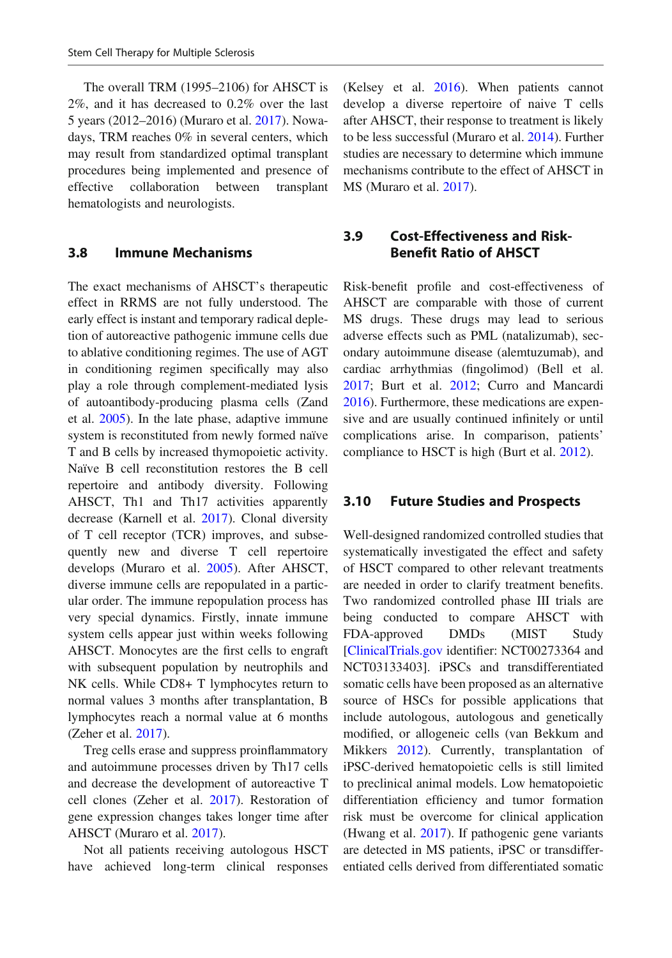The overall TRM (1995–2106) for AHSCT is 2%, and it has decreased to 0.2% over the last 5 years (2012–2016) (Muraro et al. [2017\)](#page-27-7). Nowadays, TRM reaches 0% in several centers, which may result from standardized optimal transplant procedures being implemented and presence of effective collaboration between transplant hematologists and neurologists.

#### 3.8 Immune Mechanisms

The exact mechanisms of AHSCT's therapeutic effect in RRMS are not fully understood. The early effect is instant and temporary radical depletion of autoreactive pathogenic immune cells due to ablative conditioning regimes. The use of AGT in conditioning regimen specifically may also play a role through complement-mediated lysis of autoantibody-producing plasma cells (Zand et al. [2005\)](#page-29-8). In the late phase, adaptive immune system is reconstituted from newly formed naïve T and B cells by increased thymopoietic activity. Naïve B cell reconstitution restores the B cell repertoire and antibody diversity. Following AHSCT, Th1 and Th17 activities apparently decrease (Karnell et al. [2017](#page-26-8)). Clonal diversity of T cell receptor (TCR) improves, and subsequently new and diverse T cell repertoire develops (Muraro et al. [2005](#page-27-0)). After AHSCT, diverse immune cells are repopulated in a particular order. The immune repopulation process has very special dynamics. Firstly, innate immune system cells appear just within weeks following AHSCT. Monocytes are the first cells to engraft with subsequent population by neutrophils and NK cells. While CD8+ T lymphocytes return to normal values 3 months after transplantation, B lymphocytes reach a normal value at 6 months (Zeher et al. [2017](#page-29-7)).

Treg cells erase and suppress proinflammatory and autoimmune processes driven by Th17 cells and decrease the development of autoreactive T cell clones (Zeher et al. [2017](#page-29-7)). Restoration of gene expression changes takes longer time after AHSCT (Muraro et al. [2017](#page-27-7)).

Not all patients receiving autologous HSCT have achieved long-term clinical responses (Kelsey et al. [2016](#page-26-9)). When patients cannot develop a diverse repertoire of naive T cells after AHSCT, their response to treatment is likely to be less successful (Muraro et al. [2014](#page-27-9)). Further studies are necessary to determine which immune mechanisms contribute to the effect of AHSCT in MS (Muraro et al. [2017\)](#page-27-7).

# 3.9 Cost-Effectiveness and Risk-Benefit Ratio of AHSCT

Risk-benefit profile and cost-effectiveness of AHSCT are comparable with those of current MS drugs. These drugs may lead to serious adverse effects such as PML (natalizumab), secondary autoimmune disease (alemtuzumab), and cardiac arrhythmias (fingolimod) (Bell et al. [2017;](#page-23-2) Burt et al. [2012](#page-23-6); Curro and Mancardi [2016\)](#page-24-10). Furthermore, these medications are expensive and are usually continued infinitely or until complications arise. In comparison, patients' compliance to HSCT is high (Burt et al. [2012\)](#page-23-6).

#### 3.10 Future Studies and Prospects

Well-designed randomized controlled studies that systematically investigated the effect and safety of HSCT compared to other relevant treatments are needed in order to clarify treatment benefits. Two randomized controlled phase III trials are being conducted to compare AHSCT with FDA-approved DMDs (MIST Study [\[ClinicalTrials.gov](http://clinicaltrials.gov) identifier: NCT00273364 and NCT03133403]. iPSCs and transdifferentiated somatic cells have been proposed as an alternative source of HSCs for possible applications that include autologous, autologous and genetically modified, or allogeneic cells (van Bekkum and Mikkers [2012](#page-29-9)). Currently, transplantation of iPSC-derived hematopoietic cells is still limited to preclinical animal models. Low hematopoietic differentiation efficiency and tumor formation risk must be overcome for clinical application (Hwang et al. [2017\)](#page-25-8). If pathogenic gene variants are detected in MS patients, iPSC or transdifferentiated cells derived from differentiated somatic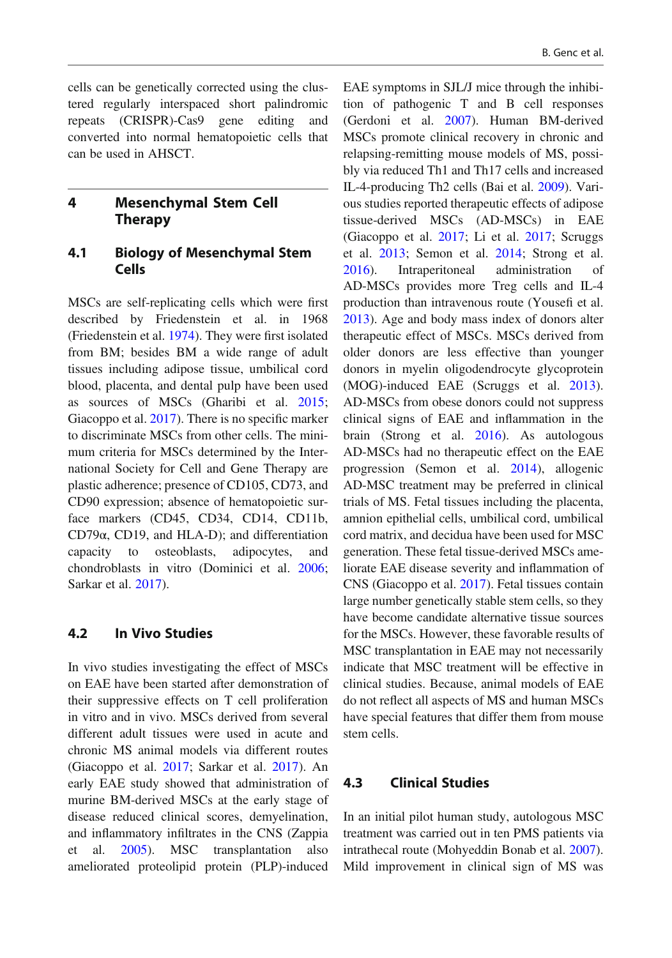cells can be genetically corrected using the clustered regularly interspaced short palindromic repeats (CRISPR)-Cas9 gene editing and converted into normal hematopoietic cells that can be used in AHSCT.

# 4 Mesenchymal Stem Cell Therapy

# 4.1 Biology of Mesenchymal Stem Cells

MSCs are self-replicating cells which were first described by Friedenstein et al. in 1968 (Friedenstein et al. [1974](#page-25-9)). They were first isolated from BM; besides BM a wide range of adult tissues including adipose tissue, umbilical cord blood, placenta, and dental pulp have been used as sources of MSCs (Gharibi et al. [2015;](#page-25-10) Giacoppo et al. [2017\)](#page-25-11). There is no specific marker to discriminate MSCs from other cells. The minimum criteria for MSCs determined by the International Society for Cell and Gene Therapy are plastic adherence; presence of CD105, CD73, and CD90 expression; absence of hematopoietic surface markers (CD45, CD34, CD14, CD11b, CD79α, CD19, and HLA-D); and differentiation capacity to osteoblasts, adipocytes, and chondroblasts in vitro (Dominici et al. [2006;](#page-24-11) Sarkar et al. [2017\)](#page-28-7).

### 4.2 In Vivo Studies

In vivo studies investigating the effect of MSCs on EAE have been started after demonstration of their suppressive effects on T cell proliferation in vitro and in vivo. MSCs derived from several different adult tissues were used in acute and chronic MS animal models via different routes (Giacoppo et al. [2017](#page-25-11); Sarkar et al. [2017](#page-28-7)). An early EAE study showed that administration of murine BM-derived MSCs at the early stage of disease reduced clinical scores, demyelination, and inflammatory infiltrates in the CNS (Zappia et al. [2005\)](#page-29-10). MSC transplantation also ameliorated proteolipid protein (PLP)-induced

EAE symptoms in SJL/J mice through the inhibition of pathogenic T and B cell responses (Gerdoni et al. [2007](#page-25-12)). Human BM-derived MSCs promote clinical recovery in chronic and relapsing-remitting mouse models of MS, possibly via reduced Th1 and Th17 cells and increased IL-4-producing Th2 cells (Bai et al. [2009](#page-23-7)). Various studies reported therapeutic effects of adipose tissue-derived MSCs (AD-MSCs) in EAE (Giacoppo et al. [2017](#page-25-11); Li et al. [2017;](#page-26-8) Scruggs et al. [2013;](#page-28-9) Semon et al. [2014](#page-28-10); Strong et al. [2016\)](#page-28-11). Intraperitoneal administration of AD-MSCs provides more Treg cells and IL-4 production than intravenous route (Yousefi et al. [2013\)](#page-29-9). Age and body mass index of donors alter therapeutic effect of MSCs. MSCs derived from older donors are less effective than younger donors in myelin oligodendrocyte glycoprotein (MOG)-induced EAE (Scruggs et al. [2013\)](#page-28-9). AD-MSCs from obese donors could not suppress clinical signs of EAE and inflammation in the brain (Strong et al. [2016\)](#page-28-11). As autologous AD-MSCs had no therapeutic effect on the EAE progression (Semon et al. [2014\)](#page-28-10), allogenic AD-MSC treatment may be preferred in clinical trials of MS. Fetal tissues including the placenta, amnion epithelial cells, umbilical cord, umbilical cord matrix, and decidua have been used for MSC generation. These fetal tissue-derived MSCs ameliorate EAE disease severity and inflammation of CNS (Giacoppo et al. [2017](#page-25-11)). Fetal tissues contain large number genetically stable stem cells, so they have become candidate alternative tissue sources for the MSCs. However, these favorable results of MSC transplantation in EAE may not necessarily indicate that MSC treatment will be effective in clinical studies. Because, animal models of EAE do not reflect all aspects of MS and human MSCs have special features that differ them from mouse stem cells.

#### 4.3 Clinical Studies

In an initial pilot human study, autologous MSC treatment was carried out in ten PMS patients via intrathecal route (Mohyeddin Bonab et al. [2007\)](#page-27-10). Mild improvement in clinical sign of MS was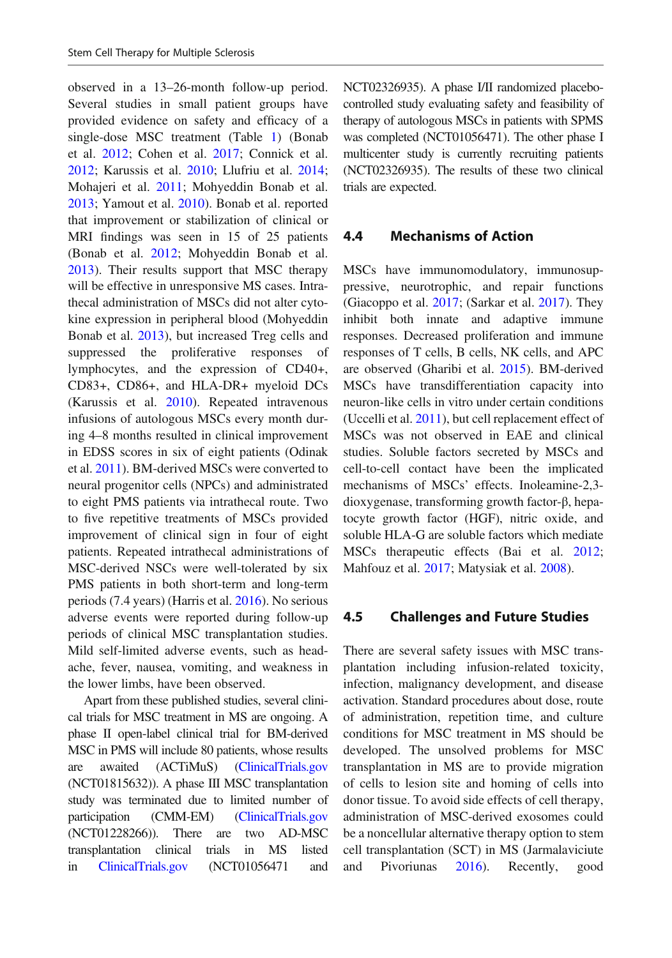observed in a 13–26-month follow-up period. Several studies in small patient groups have provided evidence on safety and efficacy of a single-dose MSC treatment (Table [1](#page-11-0)) (Bonab et al. [2012;](#page-23-8) Cohen et al. [2017;](#page-24-12) Connick et al. [2012;](#page-24-3) Karussis et al. [2010](#page-26-10); Llufriu et al. [2014;](#page-26-9) Mohajeri et al. [2011](#page-27-11); Mohyeddin Bonab et al. [2013;](#page-27-12) Yamout et al. [2010\)](#page-29-11). Bonab et al. reported that improvement or stabilization of clinical or MRI findings was seen in 15 of 25 patients (Bonab et al. [2012](#page-23-8); Mohyeddin Bonab et al. [2013\)](#page-27-12). Their results support that MSC therapy will be effective in unresponsive MS cases. Intrathecal administration of MSCs did not alter cytokine expression in peripheral blood (Mohyeddin Bonab et al. [2013\)](#page-27-12), but increased Treg cells and suppressed the proliferative responses of lymphocytes, and the expression of CD40+, CD83+, CD86+, and HLA-DR+ myeloid DCs (Karussis et al. [2010\)](#page-26-10). Repeated intravenous infusions of autologous MSCs every month during 4–8 months resulted in clinical improvement in EDSS scores in six of eight patients (Odinak et al. [2011\)](#page-27-10). BM-derived MSCs were converted to neural progenitor cells (NPCs) and administrated to eight PMS patients via intrathecal route. Two to five repetitive treatments of MSCs provided improvement of clinical sign in four of eight patients. Repeated intrathecal administrations of MSC-derived NSCs were well-tolerated by six PMS patients in both short-term and long-term periods (7.4 years) (Harris et al. [2016\)](#page-25-13). No serious adverse events were reported during follow-up periods of clinical MSC transplantation studies. Mild self-limited adverse events, such as headache, fever, nausea, vomiting, and weakness in the lower limbs, have been observed.

Apart from these published studies, several clinical trials for MSC treatment in MS are ongoing. A phase II open-label clinical trial for BM-derived MSC in PMS will include 80 patients, whose results are awaited (ACTiMuS) [\(ClinicalTrials.gov](http://clinicaltrials.gov) (NCT01815632)). A phase III MSC transplantation study was terminated due to limited number of participation (CMM-EM) [\(ClinicalTrials.gov](http://clinicaltrials.gov) (NCT01228266)). There are two AD-MSC transplantation clinical trials in MS listed in [ClinicalTrials.gov](http://clinicaltrials.gov) (NCT01056471 and

NCT02326935). A phase I/II randomized placebocontrolled study evaluating safety and feasibility of therapy of autologous MSCs in patients with SPMS was completed (NCT01056471). The other phase I multicenter study is currently recruiting patients (NCT02326935). The results of these two clinical trials are expected.

#### 4.4 Mechanisms of Action

MSCs have immunomodulatory, immunosuppressive, neurotrophic, and repair functions (Giacoppo et al. [2017;](#page-25-11) (Sarkar et al. [2017\)](#page-28-7). They inhibit both innate and adaptive immune responses. Decreased proliferation and immune responses of T cells, B cells, NK cells, and APC are observed (Gharibi et al. [2015](#page-25-10)). BM-derived MSCs have transdifferentiation capacity into neuron-like cells in vitro under certain conditions (Uccelli et al. [2011](#page-29-12)), but cell replacement effect of MSCs was not observed in EAE and clinical studies. Soluble factors secreted by MSCs and cell-to-cell contact have been the implicated mechanisms of MSCs' effects. Inoleamine-2,3 dioxygenase, transforming growth factor-β, hepatocyte growth factor (HGF), nitric oxide, and soluble HLA-G are soluble factors which mediate MSCs therapeutic effects (Bai et al. [2012;](#page-23-9) Mahfouz et al. [2017;](#page-26-11) Matysiak et al. [2008\)](#page-27-13).

#### 4.5 Challenges and Future Studies

There are several safety issues with MSC transplantation including infusion-related toxicity, infection, malignancy development, and disease activation. Standard procedures about dose, route of administration, repetition time, and culture conditions for MSC treatment in MS should be developed. The unsolved problems for MSC transplantation in MS are to provide migration of cells to lesion site and homing of cells into donor tissue. To avoid side effects of cell therapy, administration of MSC-derived exosomes could be a noncellular alternative therapy option to stem cell transplantation (SCT) in MS (Jarmalaviciute and Pivoriunas [2016](#page-25-14)). Recently, good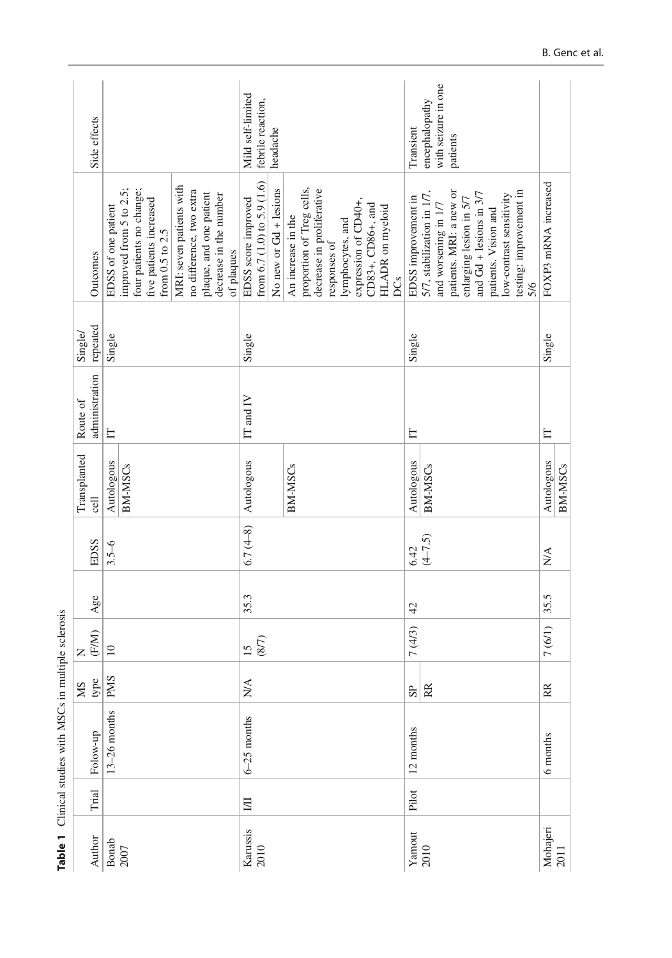<span id="page-11-0"></span>

|                  |              |                | ΝS                           | $\mathsf{z}$ |      |                              | Transplanted | Route of                 | Single/  |                                                      |                                        |
|------------------|--------------|----------------|------------------------------|--------------|------|------------------------------|--------------|--------------------------|----------|------------------------------------------------------|----------------------------------------|
| Author           | Trial        | Folow-up       | type                         | (F/M)        | Age  | EDSS                         | 링            | administration           | repeated | Outcomes                                             | Side effects                           |
| Bonab            |              | $13-26$ months | <b>PMS</b>                   | $10$         |      | $3.5 - 6$                    | Autologous   | E                        | Single   | EDSS of one patient                                  |                                        |
| 2007             |              |                |                              |              |      |                              | BM-MSCs      |                          |          | improved from 5 to 2.5;                              |                                        |
|                  |              |                |                              |              |      |                              |              |                          |          | four patients no change;                             |                                        |
|                  |              |                |                              |              |      |                              |              |                          |          | five patients increased                              |                                        |
|                  |              |                |                              |              |      |                              |              |                          |          | from 0.5 to 2.5                                      |                                        |
|                  |              |                |                              |              |      |                              |              |                          |          | MRI: seven patients with                             |                                        |
|                  |              |                |                              |              |      |                              |              |                          |          | no difference, two extra                             |                                        |
|                  |              |                |                              |              |      |                              |              |                          |          | plaque, and one patient<br>decrease in the number    |                                        |
|                  |              |                |                              |              |      |                              |              |                          |          | of plaques                                           |                                        |
| Karussis<br>2010 | $\mathbb{H}$ | $6-25$ months  | $\stackrel{\triangle}{\geq}$ | (8/7)<br>15  | 35.3 | $6.7(4-8)$                   | Autologous   | $\Gamma$ and $\Gamma\!V$ | Single   | from $6.7(1.0)$ to $5.9(1.6)$<br>EDSS score improved | Mild self-limited<br>febrile reaction, |
|                  |              |                |                              |              |      |                              |              |                          |          | No new or Gd + lesions                               | headache                               |
|                  |              |                |                              |              |      |                              | BM-MSCs      |                          |          | An increase in the                                   |                                        |
|                  |              |                |                              |              |      |                              |              |                          |          | proportion of Treg cells,                            |                                        |
|                  |              |                |                              |              |      |                              |              |                          |          | decrease in proliferative                            |                                        |
|                  |              |                |                              |              |      |                              |              |                          |          | responses of                                         |                                        |
|                  |              |                |                              |              |      |                              |              |                          |          | lymphocytes, and                                     |                                        |
|                  |              |                |                              |              |      |                              |              |                          |          | expression of CD40+,                                 |                                        |
|                  |              |                |                              |              |      |                              |              |                          |          | CD83+, CD86+, and                                    |                                        |
|                  |              |                |                              |              |      |                              |              |                          |          | HLADR on myeloid<br>DCs                              |                                        |
| Yamout           | Pilot        | 12 months      | S <sub>P</sub>               | 7 (4/3)      | 42   | $6.42$<br>(4-7.5)            | Autologous   | E                        | Single   | EDSS improvement in                                  | Transient                              |
| 2010             |              |                | RR                           |              |      |                              | BM-MSCs      |                          |          | 5/7, stabilization in 1/7,                           | encephalopathy                         |
|                  |              |                |                              |              |      |                              |              |                          |          | patients. MRI: a new or<br>and worsening in 1/7      | with seizure in one<br>patients        |
|                  |              |                |                              |              |      |                              |              |                          |          | enlarging lesion in 5/7                              |                                        |
|                  |              |                |                              |              |      |                              |              |                          |          | and $Gd +$ lesions in $3/7$                          |                                        |
|                  |              |                |                              |              |      |                              |              |                          |          | patients. Vision and                                 |                                        |
|                  |              |                |                              |              |      |                              |              |                          |          | low-contrast sensitivity                             |                                        |
|                  |              |                |                              |              |      |                              |              |                          |          | testing: improvement in<br>5/6                       |                                        |
| Mohajeri         |              | 6 months       | <b>RR</b>                    | 7(6/1)       | 35.5 | $\stackrel{\triangle}{\geq}$ | Autologous   | E                        | Single   | FOXP3 mRNA increased                                 |                                        |
| 2011             |              |                |                              |              |      |                              | BM-MSCs      |                          |          |                                                      |                                        |

Table 1 Clinical studies with MSCs in multiple sclerosis Table 1 Clinical studies with MSCs in multiple sclerosis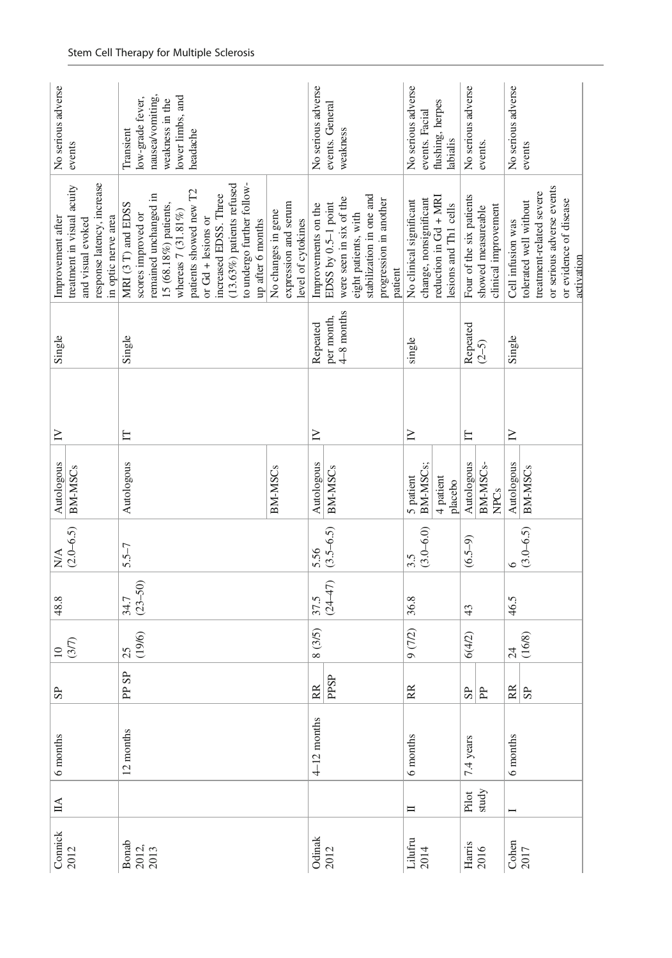| $\mathbb{H}$                                  | 6 months | S <sub>P</sub> | $\supseteq$ | 48.8                | $\sum_{i=1}^{n}$     | Autologous                                               | $\square$ | Single                     | Improvement after                                                                                                                                                                                                                                                             | No serious adverse                                                                                   |
|-----------------------------------------------|----------|----------------|-------------|---------------------|----------------------|----------------------------------------------------------|-----------|----------------------------|-------------------------------------------------------------------------------------------------------------------------------------------------------------------------------------------------------------------------------------------------------------------------------|------------------------------------------------------------------------------------------------------|
| (3/7)                                         |          |                |             |                     | $(2.0 - 6.5)$        | BM-MSCs                                                  |           |                            | response latency, increase<br>treatment in visual acuity<br>in optic nerve area<br>and visual evoked                                                                                                                                                                          | events                                                                                               |
| (19/6)<br>25<br>PP SP<br>12 months            |          |                |             | $(23 - 50)$<br>34.7 | $5.5 - 7$            | Autologous                                               | E         | Single                     | $(13.63\%)$ patients refused<br>to undergo further follow-<br>patients showed new T2<br>increased EDSS. Three<br>remained unchanged in<br>MRI (3T) and EDSS<br>15 (68.18%) patients,<br>whereas 7 (31.81%)<br>scores improved or<br>or $Gd +$ lesions or<br>up after 6 months | lower limbs, and<br>nausea/vomiting,<br>low-grade fever,<br>weakness in the<br>headache<br>Transient |
|                                               |          |                |             |                     |                      | BM-MSCs                                                  |           |                            | expression and serum<br>No changes in gene<br>level of cytokines                                                                                                                                                                                                              |                                                                                                      |
| 8 (3/5)<br>RR<br>$4-12$ months                |          |                |             | 37.5                | 5.56                 | Autologous                                               | $\square$ | Repeated                   | Improvements on the                                                                                                                                                                                                                                                           | No serious adverse                                                                                   |
| PPSP                                          |          |                |             | $(24 - 47)$         | $(3.5 - 6.5)$        | BM-MSCs                                                  |           | $4-8$ months<br>per month, | stabilization in one and<br>were seen in six of the<br>progression in another<br>EDSS by 0.5-1 point<br>eight patients, with<br>patient                                                                                                                                       | events. General<br>weakness                                                                          |
| 9(7/2)<br>RR<br>6 months<br>$\blacksquare$    |          |                |             | 36.8                | $(3.0 - 6.0)$<br>3.5 | BM-MSC <sub>s</sub><br>5 patient<br>4 patient<br>placebo | $\geq$    | single                     | reduction in Gd + MRI<br>change, nonsignificant<br>No clinical significant<br>lesions and Th1 cells                                                                                                                                                                           | No serious adverse<br>flushing, herpes<br>events. Facial<br>labialis                                 |
| 6(4/2)<br>$\frac{1}{2}$<br>7.4 years<br>Pilot |          |                |             | 43                  | $(6.5-9)$            | Autologous                                               | E         | Repeated                   | Four of the six patients                                                                                                                                                                                                                                                      | No serious adverse                                                                                   |
| E<br>study                                    |          |                |             |                     |                      | BM-MSC <sub>S</sub> -<br><b>NPCs</b>                     |           | $(2-5)$                    | clinical improvement<br>showed measureable                                                                                                                                                                                                                                    | events.                                                                                              |
| $\overline{\mathcal{L}}$<br>RR<br>6 months    |          |                |             | 46.5                | 6                    | Autologous                                               | $\geq$    | Single                     | Cell infusion was                                                                                                                                                                                                                                                             | No serious adverse                                                                                   |
| (16/8)<br>S <sub>P</sub>                      |          |                |             |                     | $(3.0 - 6.5)$        | BM-MSC <sub>s</sub>                                      |           |                            | tolerated well without                                                                                                                                                                                                                                                        | events                                                                                               |
|                                               |          |                |             |                     |                      |                                                          |           |                            | or serious adverse events<br>treatment-related severe                                                                                                                                                                                                                         |                                                                                                      |
|                                               |          |                |             |                     |                      |                                                          |           |                            | or evidence of disease                                                                                                                                                                                                                                                        |                                                                                                      |
|                                               |          |                |             |                     |                      |                                                          |           |                            | activation                                                                                                                                                                                                                                                                    |                                                                                                      |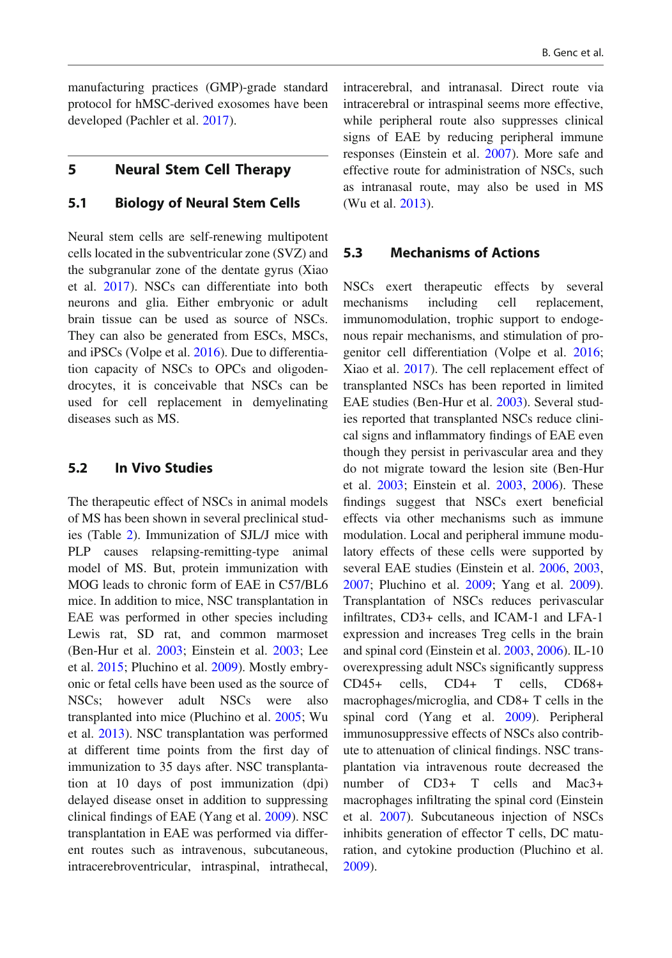manufacturing practices (GMP)-grade standard protocol for hMSC-derived exosomes have been developed (Pachler et al. [2017](#page-27-7)).

### 5 Neural Stem Cell Therapy

#### 5.1 Biology of Neural Stem Cells

Neural stem cells are self-renewing multipotent cells located in the subventricular zone (SVZ) and the subgranular zone of the dentate gyrus (Xiao et al. [2017\)](#page-29-13). NSCs can differentiate into both neurons and glia. Either embryonic or adult brain tissue can be used as source of NSCs. They can also be generated from ESCs, MSCs, and iPSCs (Volpe et al. [2016](#page-29-14)). Due to differentiation capacity of NSCs to OPCs and oligodendrocytes, it is conceivable that NSCs can be used for cell replacement in demyelinating diseases such as MS.

### 5.2 In Vivo Studies

The therapeutic effect of NSCs in animal models of MS has been shown in several preclinical studies (Table [2](#page-14-0)). Immunization of SJL/J mice with PLP causes relapsing-remitting-type animal model of MS. But, protein immunization with MOG leads to chronic form of EAE in C57/BL6 mice. In addition to mice, NSC transplantation in EAE was performed in other species including Lewis rat, SD rat, and common marmoset (Ben-Hur et al. [2003](#page-23-10); Einstein et al. [2003](#page-24-10); Lee et al. [2015](#page-26-12); Pluchino et al. [2009\)](#page-28-12). Mostly embryonic or fetal cells have been used as the source of NSCs; however adult NSCs were also transplanted into mice (Pluchino et al. [2005;](#page-28-4) Wu et al. [2013\)](#page-29-15). NSC transplantation was performed at different time points from the first day of immunization to 35 days after. NSC transplantation at 10 days of post immunization (dpi) delayed disease onset in addition to suppressing clinical findings of EAE (Yang et al. [2009\)](#page-29-16). NSC transplantation in EAE was performed via different routes such as intravenous, subcutaneous, intracerebroventricular, intraspinal, intrathecal,

intracerebral, and intranasal. Direct route via intracerebral or intraspinal seems more effective, while peripheral route also suppresses clinical signs of EAE by reducing peripheral immune responses (Einstein et al. [2007](#page-24-13)). More safe and effective route for administration of NSCs, such as intranasal route, may also be used in MS (Wu et al. [2013](#page-29-15)).

#### 5.3 Mechanisms of Actions

NSCs exert therapeutic effects by several mechanisms including cell replacement, immunomodulation, trophic support to endogenous repair mechanisms, and stimulation of progenitor cell differentiation (Volpe et al. [2016;](#page-29-14) Xiao et al. [2017](#page-29-13)). The cell replacement effect of transplanted NSCs has been reported in limited EAE studies (Ben-Hur et al. [2003\)](#page-23-10). Several studies reported that transplanted NSCs reduce clinical signs and inflammatory findings of EAE even though they persist in perivascular area and they do not migrate toward the lesion site (Ben-Hur et al. [2003](#page-23-10); Einstein et al. [2003,](#page-24-10) [2006\)](#page-24-3). These findings suggest that NSCs exert beneficial effects via other mechanisms such as immune modulation. Local and peripheral immune modulatory effects of these cells were supported by several EAE studies (Einstein et al. [2006](#page-24-3), [2003](#page-24-10), [2007;](#page-24-13) Pluchino et al. [2009;](#page-28-12) Yang et al. [2009\)](#page-29-16). Transplantation of NSCs reduces perivascular infiltrates, CD3+ cells, and ICAM-1 and LFA-1 expression and increases Treg cells in the brain and spinal cord (Einstein et al. [2003,](#page-24-10) [2006](#page-24-3)). IL-10 overexpressing adult NSCs significantly suppress CD45+ cells, CD4+ T cells, CD68+ macrophages/microglia, and CD8+ T cells in the spinal cord (Yang et al. [2009\)](#page-29-16). Peripheral immunosuppressive effects of NSCs also contribute to attenuation of clinical findings. NSC transplantation via intravenous route decreased the number of CD3+ T cells and Mac3+ macrophages infiltrating the spinal cord (Einstein et al. [2007](#page-24-13)). Subcutaneous injection of NSCs inhibits generation of effector T cells, DC maturation, and cytokine production (Pluchino et al. [2009\)](#page-28-12).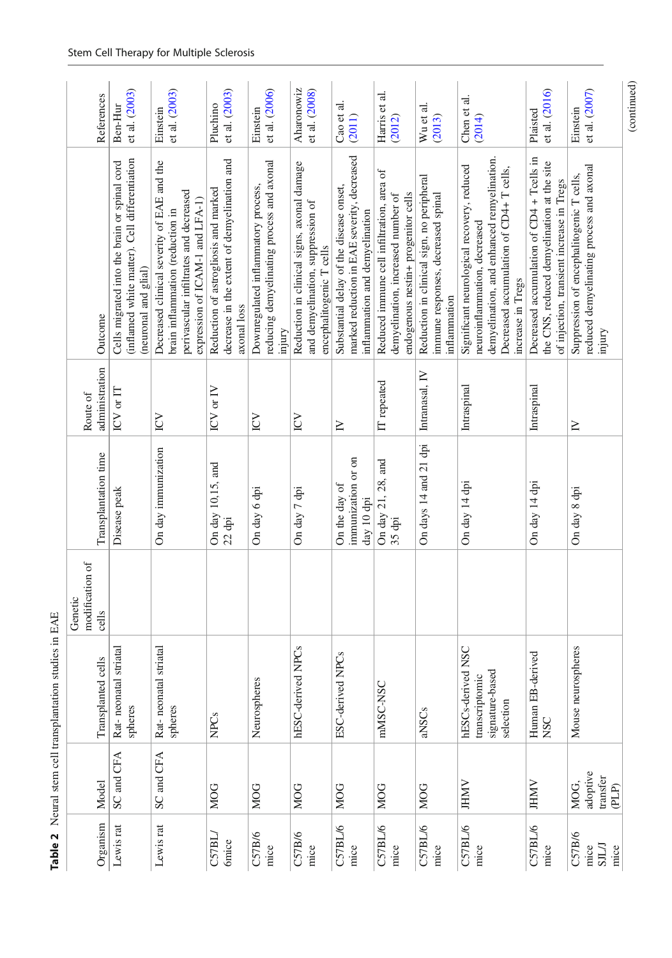<span id="page-14-0"></span>

| Aharonowiz<br>et al. (2003)<br>et al. (2003)<br>et al. (2006)<br>et al. (2008)<br>et al. (2016)<br>et al. (2007)<br>et al. (2003)<br>Harris et al.<br>Chen et al.<br>Cao et al.<br>Ben-Hur<br>Pluchino<br>Wu et al.<br>Einstein<br>Einstein<br>Einstein<br>Plaisted<br>(2014)<br>(2013)<br>(2011)<br>(2012)<br>marked reduction in EAE severity, decreased<br>demyelination, and enhanced remyelination.<br>Decreased accumulation of CD4 + Tcells in<br>(inflamed white matter). Cell differentiation<br>decrease in the extent of demyelination and<br>Decreased clinical severity of EAE and the<br>Cells migrated into the brain or spinal cord<br>the CNS, reduced demyelination at the site<br>reducing demyelinating process and axonal<br>Reduction in clinical signs, axonal damage<br>reduced demyelinating process and axonal<br>Significant neurological recovery, reduced<br>Decreased accumulation of CD4+ T cells,<br>Reduced immune cell infiltration, area of<br>Suppression of encephalitogenic T cells,<br>Reduction in clinical sign, no peripheral<br>of injection, transient increase in Tregs<br>Downregulated inflammatory process,<br>Substantial delay of the disease onset,<br>Reduction of astrogliosis and marked<br>perivascular infiltrates and decreased<br>endogenous nestin+ progenitor cells<br>immune responses, decreased spinal<br>demyelination, increased number of<br>expression of ICAM-1 and LFA-1)<br>and demyelination, suppression of<br>brain inflammation (reduction in<br>inflammation and demyelination<br>neuroinflammation, decreased<br>encephalitogenic T cells<br>(neuronal and glial)<br>increase in Tregs<br>inflammation<br>axonal loss<br>injury<br>injury<br>Intranasal, IV<br>IT repeated<br>Intraspinal<br>Intraspinal<br>ICV or IV<br>$\text{ICV}$ or $\text{IT}$<br>ICV<br><b>ZOI</b><br><b>NQI</b><br>$\square$<br>$\square$ |                                                                              |  | modification of<br>Genetic |                                                   | Route of       |         |             |
|-----------------------------------------------------------------------------------------------------------------------------------------------------------------------------------------------------------------------------------------------------------------------------------------------------------------------------------------------------------------------------------------------------------------------------------------------------------------------------------------------------------------------------------------------------------------------------------------------------------------------------------------------------------------------------------------------------------------------------------------------------------------------------------------------------------------------------------------------------------------------------------------------------------------------------------------------------------------------------------------------------------------------------------------------------------------------------------------------------------------------------------------------------------------------------------------------------------------------------------------------------------------------------------------------------------------------------------------------------------------------------------------------------------------------------------------------------------------------------------------------------------------------------------------------------------------------------------------------------------------------------------------------------------------------------------------------------------------------------------------------------------------------------------------------------------------------------------------------------------------------------------------------|------------------------------------------------------------------------------|--|----------------------------|---------------------------------------------------|----------------|---------|-------------|
|                                                                                                                                                                                                                                                                                                                                                                                                                                                                                                                                                                                                                                                                                                                                                                                                                                                                                                                                                                                                                                                                                                                                                                                                                                                                                                                                                                                                                                                                                                                                                                                                                                                                                                                                                                                                                                                                                               | cells<br>cells<br>Transplanted<br>Model                                      |  |                            | Transplantation time                              | administration | Outcome | References  |
|                                                                                                                                                                                                                                                                                                                                                                                                                                                                                                                                                                                                                                                                                                                                                                                                                                                                                                                                                                                                                                                                                                                                                                                                                                                                                                                                                                                                                                                                                                                                                                                                                                                                                                                                                                                                                                                                                               | striatal<br>Rat-neonatal<br>spheres<br>SC and CFA                            |  |                            | Disease peak                                      |                |         |             |
|                                                                                                                                                                                                                                                                                                                                                                                                                                                                                                                                                                                                                                                                                                                                                                                                                                                                                                                                                                                                                                                                                                                                                                                                                                                                                                                                                                                                                                                                                                                                                                                                                                                                                                                                                                                                                                                                                               | striatal<br>Rat-neonatal<br>spheres<br>SC and CFA                            |  |                            | On day immunization                               |                |         |             |
|                                                                                                                                                                                                                                                                                                                                                                                                                                                                                                                                                                                                                                                                                                                                                                                                                                                                                                                                                                                                                                                                                                                                                                                                                                                                                                                                                                                                                                                                                                                                                                                                                                                                                                                                                                                                                                                                                               | <b>NPCs</b><br><b>MOG</b>                                                    |  |                            | On day 10,15, and<br>$22\ \mathrm{dpi}$           |                |         |             |
|                                                                                                                                                                                                                                                                                                                                                                                                                                                                                                                                                                                                                                                                                                                                                                                                                                                                                                                                                                                                                                                                                                                                                                                                                                                                                                                                                                                                                                                                                                                                                                                                                                                                                                                                                                                                                                                                                               | Neurospheres<br><b>MOG</b>                                                   |  |                            | On day 6 dpi                                      |                |         |             |
|                                                                                                                                                                                                                                                                                                                                                                                                                                                                                                                                                                                                                                                                                                                                                                                                                                                                                                                                                                                                                                                                                                                                                                                                                                                                                                                                                                                                                                                                                                                                                                                                                                                                                                                                                                                                                                                                                               | <b>NPCs</b><br>hESC-derived<br><b>MOG</b>                                    |  |                            | On day 7 dpi                                      |                |         |             |
|                                                                                                                                                                                                                                                                                                                                                                                                                                                                                                                                                                                                                                                                                                                                                                                                                                                                                                                                                                                                                                                                                                                                                                                                                                                                                                                                                                                                                                                                                                                                                                                                                                                                                                                                                                                                                                                                                               | <b>ESC-derived NPCs</b><br><b>MOG</b>                                        |  |                            | immunization or on<br>On the day of<br>day 10 dpi |                |         |             |
|                                                                                                                                                                                                                                                                                                                                                                                                                                                                                                                                                                                                                                                                                                                                                                                                                                                                                                                                                                                                                                                                                                                                                                                                                                                                                                                                                                                                                                                                                                                                                                                                                                                                                                                                                                                                                                                                                               | 35 dpi<br>mMSC-NSC<br><b>MOG</b>                                             |  |                            | On day 21, 28, and                                |                |         |             |
|                                                                                                                                                                                                                                                                                                                                                                                                                                                                                                                                                                                                                                                                                                                                                                                                                                                                                                                                                                                                                                                                                                                                                                                                                                                                                                                                                                                                                                                                                                                                                                                                                                                                                                                                                                                                                                                                                               | aNSCs<br><b>MOG</b>                                                          |  |                            | On days 14 and 21 dpi                             |                |         |             |
|                                                                                                                                                                                                                                                                                                                                                                                                                                                                                                                                                                                                                                                                                                                                                                                                                                                                                                                                                                                                                                                                                                                                                                                                                                                                                                                                                                                                                                                                                                                                                                                                                                                                                                                                                                                                                                                                                               | hESCs-derived NSC<br>signature-based<br>transcriptomic<br>selection<br>JHMIV |  |                            | On day 14 dpi                                     |                |         |             |
|                                                                                                                                                                                                                                                                                                                                                                                                                                                                                                                                                                                                                                                                                                                                                                                                                                                                                                                                                                                                                                                                                                                                                                                                                                                                                                                                                                                                                                                                                                                                                                                                                                                                                                                                                                                                                                                                                               | Human EB-derived<br><b>NSC</b><br>JHMN                                       |  |                            | On day 14 dpi                                     |                |         |             |
|                                                                                                                                                                                                                                                                                                                                                                                                                                                                                                                                                                                                                                                                                                                                                                                                                                                                                                                                                                                                                                                                                                                                                                                                                                                                                                                                                                                                                                                                                                                                                                                                                                                                                                                                                                                                                                                                                               | Mouse neurospheres<br>adoptive<br>transfer<br>MOG.<br>(PLP)                  |  |                            | On day 8 dpi                                      |                |         | (continued) |

Table 2 Neural stem cell transplantation studies in EAE **Table 2** Neural stem cell transplantation studies in EAE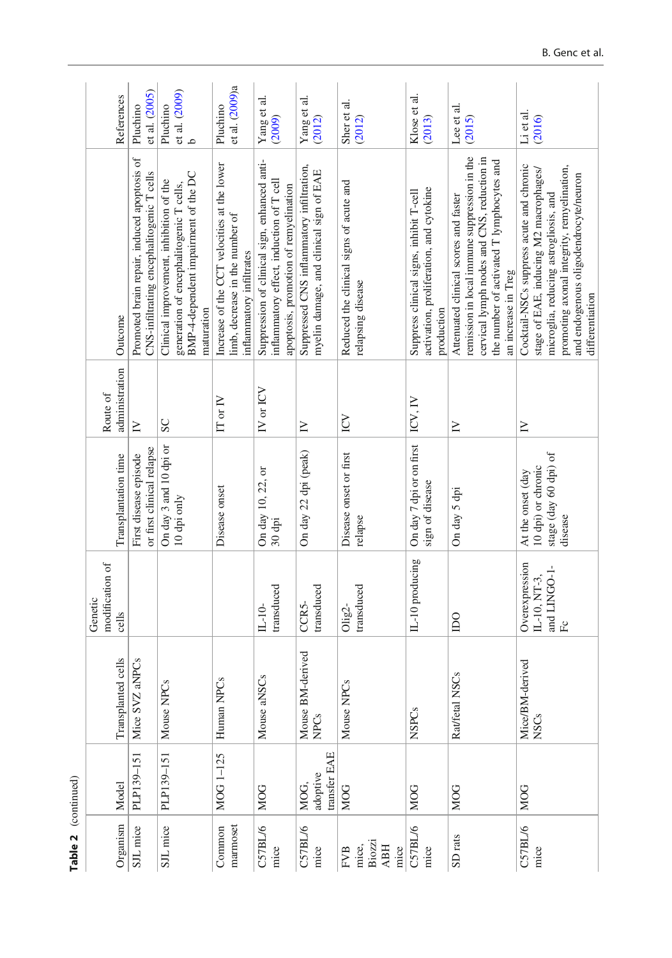| Table 2                                             | (continued)                      |                                 |                                                            |                                                                             |                      |                                                                                                                                                                                                                                       |                                  |
|-----------------------------------------------------|----------------------------------|---------------------------------|------------------------------------------------------------|-----------------------------------------------------------------------------|----------------------|---------------------------------------------------------------------------------------------------------------------------------------------------------------------------------------------------------------------------------------|----------------------------------|
|                                                     |                                  |                                 | modification of<br>Genetic                                 |                                                                             | Route of             |                                                                                                                                                                                                                                       |                                  |
| Organism                                            | Model                            | cells<br>Transplanted           | cells                                                      | Transplantation time                                                        | administration       | Outcome                                                                                                                                                                                                                               | References                       |
| SJL mice                                            | PLP139-151                       | Mice SVZ aNPCs                  |                                                            | or first clinical relapse<br>First disease episode                          | $\geq$               | Promoted brain repair, induced apoptosis of<br>CNS-infiltrating encephalitogenic T cells                                                                                                                                              | et al. (2005)<br>Pluchino        |
| SJL mice                                            | PLP139-151                       | Mouse NPCs                      |                                                            | On day 3 and 10 dpi or<br>10 dpi only                                       | SC                   | BMP-4-dependent impairment of the DC<br>Clinical improvement, inhibition of the<br>generation of encephalitogenic T cells,<br>maturation                                                                                              | et al. $(2009)$<br>b<br>Pluchino |
| marmoset<br>Common                                  | MOG 1-125                        | Human NPCs                      |                                                            | Disease onset                                                               | $\Gamma$ or $\Gamma$ | Increase of the CCT velocities at the lower<br>limb, decrease in the number of<br>inflammatory infiltrates                                                                                                                            | et al. (2009)a<br>Pluchino       |
| C57BL/6<br>mice                                     | <b>MOG</b>                       | Mouse aNSCs                     | transduced<br>$IL-10-$                                     | On day 10, 22, or<br>$30\ \mathrm{dpi}$                                     | IV or ICV            | Suppression of clinical sign, enhanced anti-<br>inflammatory effect, induction of T cell<br>apoptosis, promotion of remyelination                                                                                                     | Yang et al.<br>(2009)            |
| C57BL/6<br>mice                                     | transfer EAE<br>adoptive<br>MOG, | Mouse BM-derived<br><b>NPCs</b> | transduced<br>CCR5-                                        | On day 22 dpi (peak)                                                        | $\geq$               | Suppressed CNS inflammatory infiltration,<br>myelin damage, and clinical sign of EAE                                                                                                                                                  | Yang et al.<br>$(2012)$          |
| Biozzi<br>mice,<br><b>ABH</b><br><b>FVB</b><br>mice | <b>MOG</b>                       | Mouse NPCs                      | transduced<br>Olig2-                                       | Disease onset or first<br>relapse                                           | <b>N</b>             | Reduced the clinical signs of acute and<br>relapsing disease                                                                                                                                                                          | Sher et al.<br>(2012)            |
| C57BL/6<br>mice                                     | <b>MOG</b>                       | <b>NSPCs</b>                    | IL-10 producing                                            | On day 7 dpi or on first<br>sign of disease                                 | ICV, IV              | activation, proliferation, and cytokine<br>Suppress clinical signs, inhibit T-cell<br>production                                                                                                                                      | Klose et al.<br>(2013)           |
| SD rats                                             | <b>MOG</b>                       | Š,<br>Rat/fetal NS              | $\mathbb{R}^2$                                             | On day 5 dpi                                                                | $\geq$               | remission in local immune suppression in the<br>cervical lymph nodes and CNS, reduction in<br>the number of activated T lymphocytes and<br>Attenuated clinical scores and faster<br>an increase in Treg                               | Lee et al.<br>(2015)             |
| C57BL/6<br>mice                                     | MOG                              | Mice/BM-derived<br><b>NSCs</b>  | Overexpression<br>and LINGO-1-<br>IL-10, NT-3,<br>$\rm _E$ | stage (day 60 dpi) of<br>10 dpi) or chronic<br>At the onset (day<br>disease | $\geq$               | Cocktail-NSCs suppress acute and chronic<br>promoting axonal integrity, remyelination,<br>stage of EAE, inducing M2 macrophages/<br>and endogenous oligodendrocyte/neuron<br>microglia, reducing astrogliosis, and<br>differentiation | Li et al.<br>(2016)              |

B. Genc et al.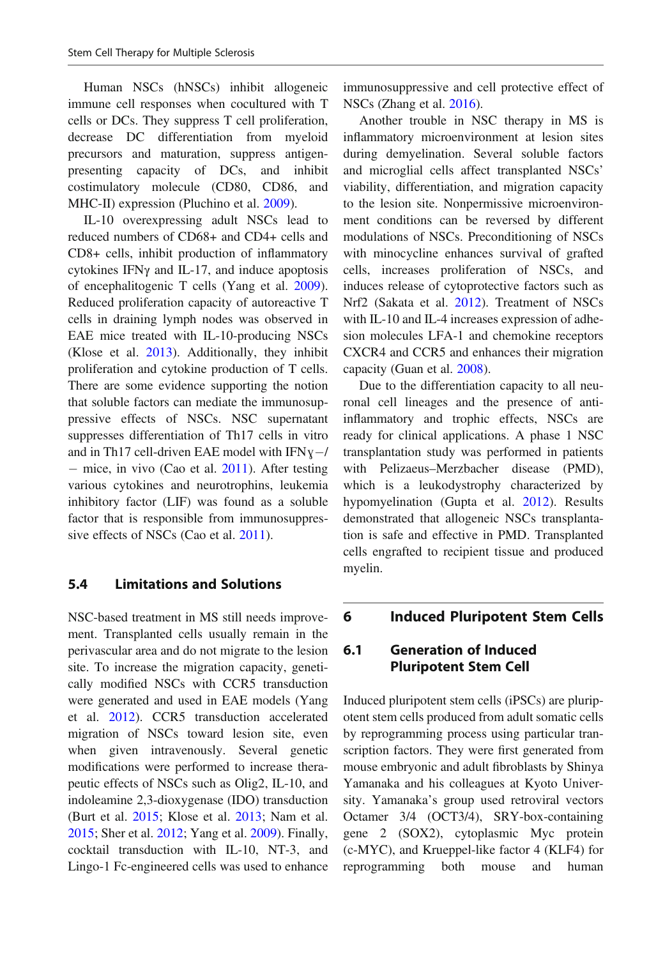Human NSCs (hNSCs) inhibit allogeneic immune cell responses when cocultured with T cells or DCs. They suppress T cell proliferation, decrease DC differentiation from myeloid precursors and maturation, suppress antigenpresenting capacity of DCs, and inhibit costimulatory molecule (CD80, CD86, and MHC-II) expression (Pluchino et al. [2009\)](#page-28-12).

IL-10 overexpressing adult NSCs lead to reduced numbers of CD68+ and CD4+ cells and CD8+ cells, inhibit production of inflammatory cytokines IFNγ and IL-17, and induce apoptosis of encephalitogenic T cells (Yang et al. [2009\)](#page-29-16). Reduced proliferation capacity of autoreactive T cells in draining lymph nodes was observed in EAE mice treated with IL-10-producing NSCs (Klose et al. [2013\)](#page-26-1). Additionally, they inhibit proliferation and cytokine production of T cells. There are some evidence supporting the notion that soluble factors can mediate the immunosuppressive effects of NSCs. NSC supernatant suppresses differentiation of Th17 cells in vitro and in Th17 cell-driven EAE model with  $IFNy$  –/  $-$  mice, in vivo (Cao et al. [2011\)](#page-23-12). After testing various cytokines and neurotrophins, leukemia inhibitory factor (LIF) was found as a soluble factor that is responsible from immunosuppressive effects of NSCs (Cao et al. [2011\)](#page-23-12).

#### 5.4 Limitations and Solutions

NSC-based treatment in MS still needs improvement. Transplanted cells usually remain in the perivascular area and do not migrate to the lesion site. To increase the migration capacity, genetically modified NSCs with CCR5 transduction were generated and used in EAE models (Yang et al. [2012\)](#page-29-17). CCR5 transduction accelerated migration of NSCs toward lesion site, even when given intravenously. Several genetic modifications were performed to increase therapeutic effects of NSCs such as Olig2, IL-10, and indoleamine 2,3-dioxygenase (IDO) transduction (Burt et al. [2015;](#page-23-5) Klose et al. [2013;](#page-26-1) Nam et al. [2015;](#page-27-5) Sher et al. [2012;](#page-28-13) Yang et al. [2009](#page-29-16)). Finally, cocktail transduction with IL-10, NT-3, and Lingo-1 Fc-engineered cells was used to enhance immunosuppressive and cell protective effect of NSCs (Zhang et al. [2016\)](#page-29-3).

Another trouble in NSC therapy in MS is inflammatory microenvironment at lesion sites during demyelination. Several soluble factors and microglial cells affect transplanted NSCs' viability, differentiation, and migration capacity to the lesion site. Nonpermissive microenvironment conditions can be reversed by different modulations of NSCs. Preconditioning of NSCs with minocycline enhances survival of grafted cells, increases proliferation of NSCs, and induces release of cytoprotective factors such as Nrf2 (Sakata et al. [2012\)](#page-28-14). Treatment of NSCs with IL-10 and IL-4 increases expression of adhesion molecules LFA-1 and chemokine receptors CXCR4 and CCR5 and enhances their migration capacity (Guan et al. [2008](#page-25-16)).

Due to the differentiation capacity to all neuronal cell lineages and the presence of antiinflammatory and trophic effects, NSCs are ready for clinical applications. A phase 1 NSC transplantation study was performed in patients with Pelizaeus–Merzbacher disease (PMD), which is a leukodystrophy characterized by hypomyelination (Gupta et al. [2012\)](#page-25-17). Results demonstrated that allogeneic NSCs transplantation is safe and effective in PMD. Transplanted cells engrafted to recipient tissue and produced myelin.

# 6 Induced Pluripotent Stem Cells

# 6.1 Generation of Induced Pluripotent Stem Cell

Induced pluripotent stem cells (iPSCs) are pluripotent stem cells produced from adult somatic cells by reprogramming process using particular transcription factors. They were first generated from mouse embryonic and adult fibroblasts by Shinya Yamanaka and his colleagues at Kyoto University. Yamanaka's group used retroviral vectors Octamer 3/4 (OCT3/4), SRY-box-containing gene 2 (SOX2), cytoplasmic Myc protein (c-MYC), and Krueppel-like factor 4 (KLF4) for reprogramming both mouse and human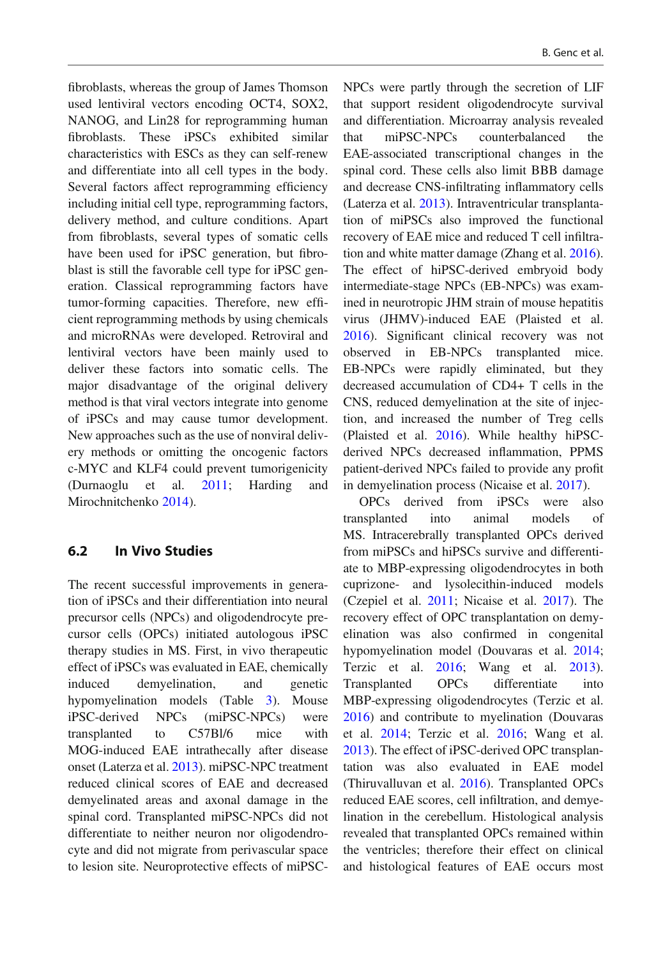fibroblasts, whereas the group of James Thomson used lentiviral vectors encoding OCT4, SOX2, NANOG, and Lin28 for reprogramming human fibroblasts. These iPSCs exhibited similar characteristics with ESCs as they can self-renew and differentiate into all cell types in the body. Several factors affect reprogramming efficiency including initial cell type, reprogramming factors, delivery method, and culture conditions. Apart from fibroblasts, several types of somatic cells have been used for iPSC generation, but fibroblast is still the favorable cell type for iPSC generation. Classical reprogramming factors have tumor-forming capacities. Therefore, new efficient reprogramming methods by using chemicals and microRNAs were developed. Retroviral and lentiviral vectors have been mainly used to deliver these factors into somatic cells. The major disadvantage of the original delivery method is that viral vectors integrate into genome of iPSCs and may cause tumor development. New approaches such as the use of nonviral delivery methods or omitting the oncogenic factors c-MYC and KLF4 could prevent tumorigenicity (Durnaoglu et al. [2011;](#page-24-15) Harding and Mirochnitchenko [2014\)](#page-25-18).

# 6.2 In Vivo Studies

The recent successful improvements in generation of iPSCs and their differentiation into neural precursor cells (NPCs) and oligodendrocyte precursor cells (OPCs) initiated autologous iPSC therapy studies in MS. First, in vivo therapeutic effect of iPSCs was evaluated in EAE, chemically induced demyelination, and genetic hypomyelination models (Table [3\)](#page-18-0). Mouse iPSC-derived NPCs (miPSC-NPCs) were transplanted to C57Bl/6 mice with MOG-induced EAE intrathecally after disease onset (Laterza et al. [2013](#page-26-14)). miPSC-NPC treatment reduced clinical scores of EAE and decreased demyelinated areas and axonal damage in the spinal cord. Transplanted miPSC-NPCs did not differentiate to neither neuron nor oligodendrocyte and did not migrate from perivascular space to lesion site. Neuroprotective effects of miPSC-

NPCs were partly through the secretion of LIF that support resident oligodendrocyte survival and differentiation. Microarray analysis revealed that miPSC-NPCs counterbalanced the EAE-associated transcriptional changes in the spinal cord. These cells also limit BBB damage and decrease CNS-infiltrating inflammatory cells (Laterza et al. [2013\)](#page-26-14). Intraventricular transplantation of miPSCs also improved the functional recovery of EAE mice and reduced T cell infiltration and white matter damage (Zhang et al. [2016\)](#page-29-3). The effect of hiPSC-derived embryoid body intermediate-stage NPCs (EB-NPCs) was examined in neurotropic JHM strain of mouse hepatitis virus (JHMV)-induced EAE (Plaisted et al. [2016\)](#page-28-5). Significant clinical recovery was not observed in EB-NPCs transplanted mice. EB-NPCs were rapidly eliminated, but they decreased accumulation of CD4+ T cells in the CNS, reduced demyelination at the site of injection, and increased the number of Treg cells (Plaisted et al. [2016](#page-28-5)). While healthy hiPSCderived NPCs decreased inflammation, PPMS patient-derived NPCs failed to provide any profit in demyelination process (Nicaise et al. [2017\)](#page-27-14).

OPCs derived from iPSCs were also transplanted into animal models of MS. Intracerebrally transplanted OPCs derived from miPSCs and hiPSCs survive and differentiate to MBP-expressing oligodendrocytes in both cuprizone- and lysolecithin-induced models (Czepiel et al. [2011](#page-24-16); Nicaise et al. [2017\)](#page-27-14). The recovery effect of OPC transplantation on demyelination was also confirmed in congenital hypomyelination model (Douvaras et al. [2014;](#page-24-17) Terzic et al. [2016;](#page-29-18) Wang et al. [2013\)](#page-29-7). Transplanted OPCs differentiate into MBP-expressing oligodendrocytes (Terzic et al. [2016\)](#page-29-18) and contribute to myelination (Douvaras et al. [2014](#page-24-17); Terzic et al. [2016](#page-29-18); Wang et al. [2013\)](#page-29-7). The effect of iPSC-derived OPC transplantation was also evaluated in EAE model (Thiruvalluvan et al. [2016](#page-29-19)). Transplanted OPCs reduced EAE scores, cell infiltration, and demyelination in the cerebellum. Histological analysis revealed that transplanted OPCs remained within the ventricles; therefore their effect on clinical and histological features of EAE occurs most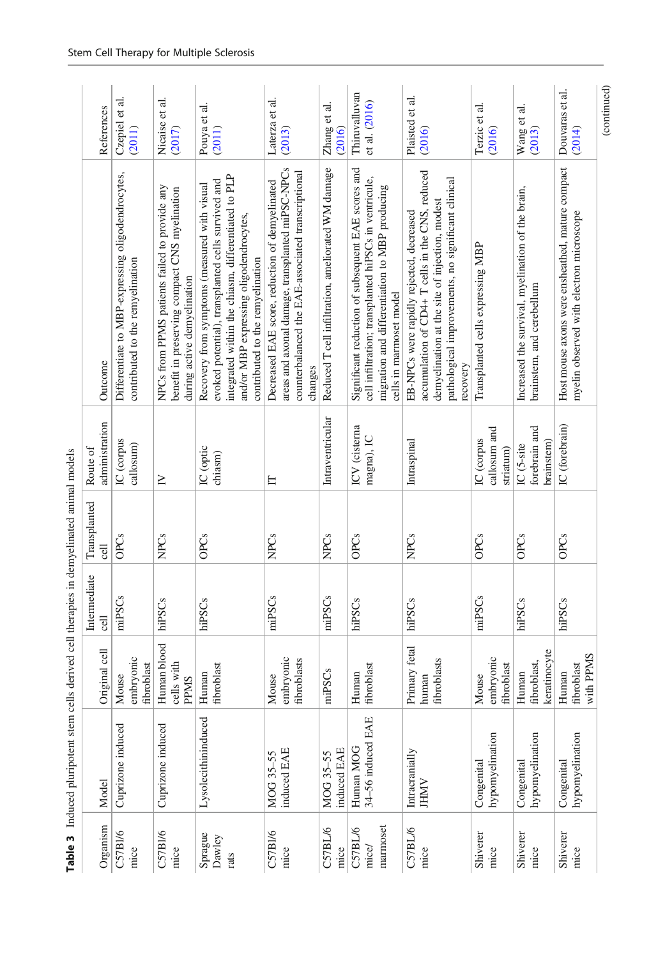| Table 3                      | Induced pluripotent stem cells derived cell therapies in demyelinated animal models |                                              |                                |                    |                                           |                                                                                                                                                                                                                                          |                                |
|------------------------------|-------------------------------------------------------------------------------------|----------------------------------------------|--------------------------------|--------------------|-------------------------------------------|------------------------------------------------------------------------------------------------------------------------------------------------------------------------------------------------------------------------------------------|--------------------------------|
| Organism                     | Model                                                                               | Original cell                                | Intermediate<br>$\overline{d}$ | Transplanted<br>dl | administration<br>Route of                | Outcome                                                                                                                                                                                                                                  | References                     |
| C57B1/6<br>mice              | Cuprizone induced                                                                   | embryonic<br>fibroblast<br>Mouse             | miPSCs                         | <b>OPCs</b>        | IC (corpus<br>callosum)                   | Differentiate to MBP-expressing oligodendrocytes,<br>contributed to the remyelination                                                                                                                                                    | Czepiel et al.<br>(2011)       |
| C57BI/6<br>mice              | Cuprizone induced                                                                   | Human blood<br>cells with<br><b>PPMS</b>     | hiPSCs                         | <b>NPCs</b>        | $\square$                                 | NPCs from PPMS patients failed to provide any<br>benefit in preserving compact CNS myelination<br>during active demyelination                                                                                                            | Nicaise et al.<br>(2017)       |
| Sprague<br>Dawley<br>rats    | Lysolecithininduced                                                                 | fibroblast<br>Human                          | hiPSCs                         | <b>OPCs</b>        | IC (optic<br>chiasm)                      | integrated within the chiasm, differentiated to PLP<br>evoked potential), transplanted cells survived and<br>Recovery from symptoms (measured with visual<br>and/or MBP expressing oligodendrocytes,<br>contributed to the remyelination | ನ<br>Pouya et<br>(2011)        |
| C57BI/6<br>mice              | induced EAE<br>MOG 35-55                                                            | embryonic<br>fibroblasts<br>Mouse            | miPSCs                         | <b>NPCs</b>        | E                                         | areas and axonal damage, transplanted miPSC-NPCs<br>counterbalanced the EAE-associated transcriptional<br>Decreased EAE score, reduction of demyelinated<br>changes                                                                      | Laterza et al.<br>(2013)       |
| C57BL/6<br>mice              | induced EAE<br>MOG 35-55                                                            | miPSCs                                       | miPSCs                         | <b>NPCs</b>        | Intraventricular                          | Reduced T cell infiltration, ameliorated WM damage                                                                                                                                                                                       | Zhang et al.<br>(2016)         |
| marmoset<br>C57BL/6<br>mice/ | 34-56 induced EAE<br>Human MOG                                                      | fibroblast<br>Human                          | hiPSCs                         | <b>OPCs</b>        | ICV (cistema<br>magna), IC                | Significant reduction of subsequent EAE scores and<br>cell infiltration; transplanted hiPSCs in ventricule,<br>migration and differentiation to MBP producing<br>cells in marmoset model                                                 | Thiruvalluvan<br>et al. (2016) |
| C57BL/6<br>mice              | Intracranially<br><b>JHMV</b>                                                       | Primary fetal<br>fibroblasts<br>human        | hiPSCs                         | <b>NPCs</b>        | Intraspinal                               | accumulation of CD4+ T cells in the CNS, reduced<br>pathological improvements, no significant clinical<br>demyelination at the site of injection, modest<br>EB-NPCs were rapidly rejected, decreased<br>recovery                         | Plaisted et al.<br>(2016)      |
| Shiverer<br>mice             | hypomyelination<br>Congenital                                                       | embryonic<br>fibroblast<br>Mouse             | miPSCs                         | <b>OPCs</b>        | callosum and<br>IC (corpus<br>striatum)   | Transplanted cells expressing MBP                                                                                                                                                                                                        | ನ<br>Terzic et<br>(2016)       |
| Shiverer<br>mice             | hypomyelination<br>Congenital                                                       | keratinocyte<br>fibroblast,<br>Human         | hiPSCs                         | <b>OPCs</b>        | forebrain and<br>brainstem)<br>IC (5-site | Increased the survival, myelination of the brain,<br>brainstem, and cerebellum                                                                                                                                                           | Wang et al.<br>$(2013)$        |
| Shiverer<br>mice             | hypomyelination<br>Congenital                                                       | <b>PPMS</b><br>fibroblast<br>Human<br>with 1 | hiPSCs                         | <b>OPCs</b>        | IC (forebrain)                            | Host mouse axons were ensheathed, mature compact<br>myelin observed with electron microscope                                                                                                                                             | Douvaras et al.<br>(2014)      |
|                              |                                                                                     |                                              |                                |                    |                                           |                                                                                                                                                                                                                                          | (continued)                    |

<span id="page-18-0"></span>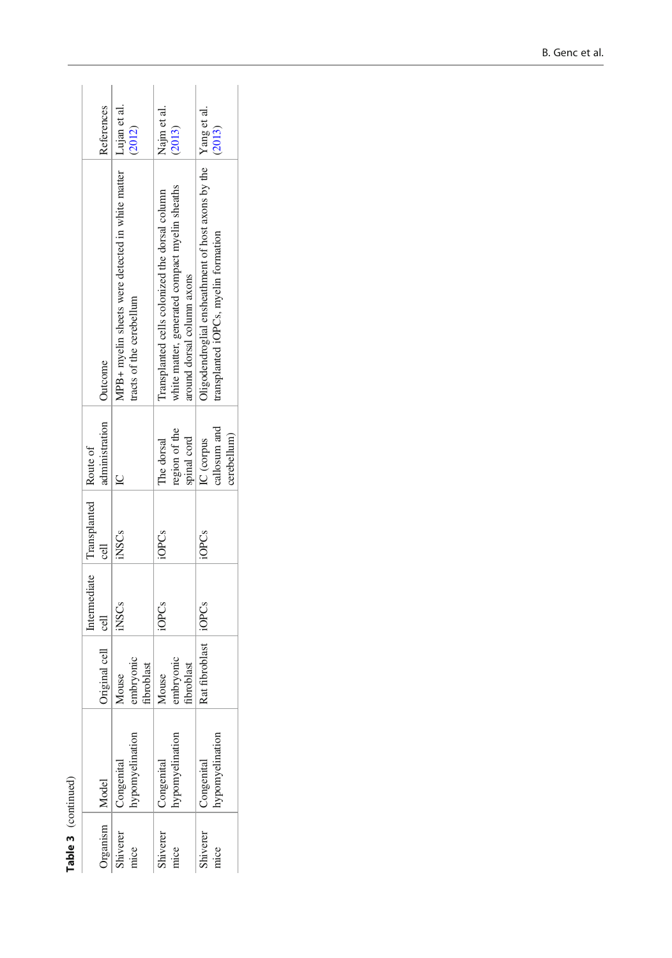| m |  |
|---|--|

| Organism Model   |                               |                                                                          | Intermediate<br>$_{\rm{cell}}$ | Transplanted Route of<br>cell | administration                             | Outcome                                                                                                                        | References            |
|------------------|-------------------------------|--------------------------------------------------------------------------|--------------------------------|-------------------------------|--------------------------------------------|--------------------------------------------------------------------------------------------------------------------------------|-----------------------|
| Shiverer<br>mice | aypomyelination<br>Congenital | Original cell<br>Mouse                                                   | iNSCs                          | iNSCs                         | ⊵                                          | MPB+ myelin sheets were detected in white matter   Lujan et al.<br>tracts of the cerebellum                                    | (2012)                |
| Shiverer<br>nice | nypomyelination<br>Congenital | embryonic<br>fibroblast<br>Mouse<br>embryonic<br>embryonic<br>fibroblast | iOPCs                          | iOPCs                         | region of the<br>spinal cord<br>The dorsal | white matter, generated compact myelin sheaths<br>Transplanted cells colonized the dorsal column<br>around dorsal column axons | Najm et al.<br>(2013) |
| Shiverer<br>mice | rypomyelination<br>Congenital | Rat fibroblast iOPCs                                                     |                                | iOPCs                         | callosum and<br>cerebellum)<br>IC (corpus  | Oligodendroglial ensheathment of host axons by the $\parallel$ Yang et al.<br>transplanted iOPCs, myelin formation             | (2013)                |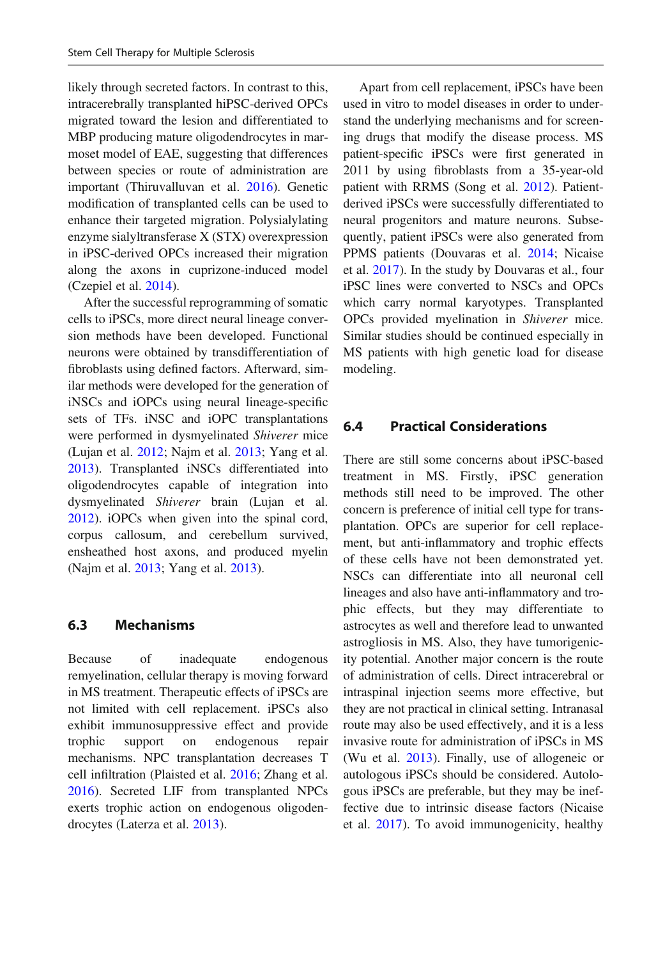likely through secreted factors. In contrast to this, intracerebrally transplanted hiPSC-derived OPCs migrated toward the lesion and differentiated to MBP producing mature oligodendrocytes in marmoset model of EAE, suggesting that differences between species or route of administration are important (Thiruvalluvan et al. [2016](#page-29-19)). Genetic modification of transplanted cells can be used to enhance their targeted migration. Polysialylating enzyme sialyltransferase X (STX) overexpression in iPSC-derived OPCs increased their migration along the axons in cuprizone-induced model (Czepiel et al. [2014](#page-24-18)).

After the successful reprogramming of somatic cells to iPSCs, more direct neural lineage conversion methods have been developed. Functional neurons were obtained by transdifferentiation of fibroblasts using defined factors. Afterward, similar methods were developed for the generation of iNSCs and iOPCs using neural lineage-specific sets of TFs. iNSC and iOPC transplantations were performed in dysmyelinated Shiverer mice (Lujan et al. [2012](#page-26-15); Najm et al. [2013;](#page-27-15) Yang et al. [2013\)](#page-29-20). Transplanted iNSCs differentiated into oligodendrocytes capable of integration into dysmyelinated Shiverer brain (Lujan et al. [2012\)](#page-26-15). iOPCs when given into the spinal cord, corpus callosum, and cerebellum survived, ensheathed host axons, and produced myelin (Najm et al. [2013](#page-27-15); Yang et al. [2013](#page-29-20)).

#### 6.3 Mechanisms

Because of inadequate endogenous remyelination, cellular therapy is moving forward in MS treatment. Therapeutic effects of iPSCs are not limited with cell replacement. iPSCs also exhibit immunosuppressive effect and provide trophic support on endogenous repair mechanisms. NPC transplantation decreases T cell infiltration (Plaisted et al. [2016;](#page-28-5) Zhang et al. [2016\)](#page-29-3). Secreted LIF from transplanted NPCs exerts trophic action on endogenous oligodendrocytes (Laterza et al. [2013\)](#page-26-14).

Apart from cell replacement, iPSCs have been used in vitro to model diseases in order to understand the underlying mechanisms and for screening drugs that modify the disease process. MS patient-specific iPSCs were first generated in 2011 by using fibroblasts from a 35-year-old patient with RRMS (Song et al. [2012](#page-28-16)). Patientderived iPSCs were successfully differentiated to neural progenitors and mature neurons. Subsequently, patient iPSCs were also generated from PPMS patients (Douvaras et al. [2014](#page-24-17); Nicaise et al. [2017](#page-27-14)). In the study by Douvaras et al., four iPSC lines were converted to NSCs and OPCs which carry normal karyotypes. Transplanted OPCs provided myelination in Shiverer mice. Similar studies should be continued especially in MS patients with high genetic load for disease modeling.

# 6.4 Practical Considerations

There are still some concerns about iPSC-based treatment in MS. Firstly, iPSC generation methods still need to be improved. The other concern is preference of initial cell type for transplantation. OPCs are superior for cell replacement, but anti-inflammatory and trophic effects of these cells have not been demonstrated yet. NSCs can differentiate into all neuronal cell lineages and also have anti-inflammatory and trophic effects, but they may differentiate to astrocytes as well and therefore lead to unwanted astrogliosis in MS. Also, they have tumorigenicity potential. Another major concern is the route of administration of cells. Direct intracerebral or intraspinal injection seems more effective, but they are not practical in clinical setting. Intranasal route may also be used effectively, and it is a less invasive route for administration of iPSCs in MS (Wu et al. [2013](#page-29-15)). Finally, use of allogeneic or autologous iPSCs should be considered. Autologous iPSCs are preferable, but they may be ineffective due to intrinsic disease factors (Nicaise et al. [2017](#page-27-14)). To avoid immunogenicity, healthy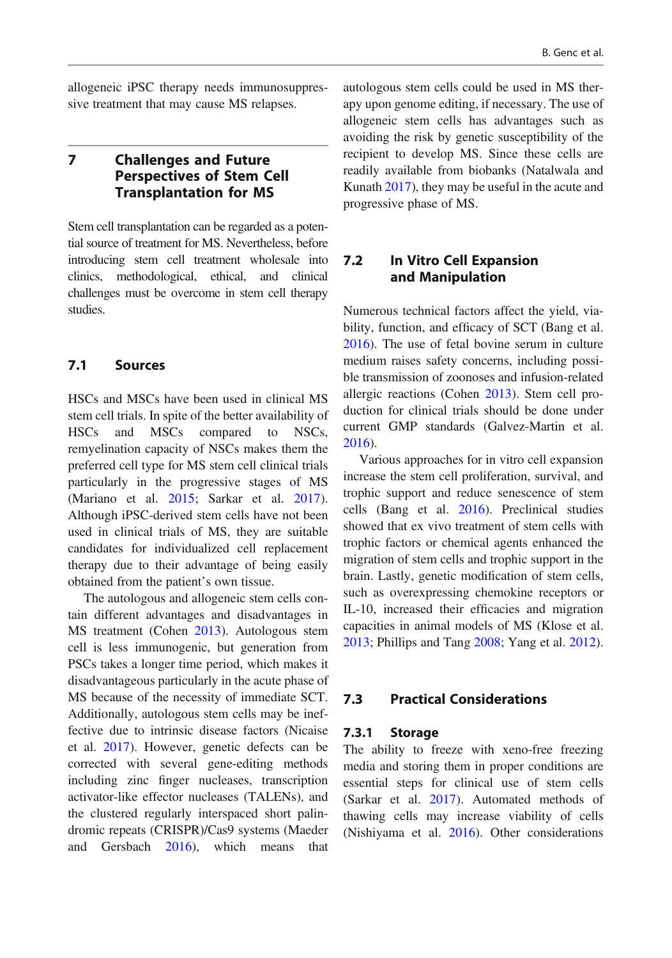allogeneic iPSC therapy needs immunosuppressive treatment that may cause MS relapses.

# 7 Challenges and Future Perspectives of Stem Cell Transplantation for MS

Stem cell transplantation can be regarded as a potential source of treatment for MS. Nevertheless, before introducing stem cell treatment wholesale into clinics, methodological, ethical, and clinical challenges must be overcome in stem cell therapy studies.

# 7.1 Sources

HSCs and MSCs have been used in clinical MS stem cell trials. In spite of the better availability of HSCs and MSCs compared to NSCs, remyelination capacity of NSCs makes them the preferred cell type for MS stem cell clinical trials particularly in the progressive stages of MS (Mariano et al. [2015](#page-26-4); Sarkar et al. [2017\)](#page-28-7). Although iPSC-derived stem cells have not been used in clinical trials of MS, they are suitable candidates for individualized cell replacement therapy due to their advantage of being easily obtained from the patient's own tissue.

The autologous and allogeneic stem cells contain different advantages and disadvantages in MS treatment (Cohen [2013](#page-24-19)). Autologous stem cell is less immunogenic, but generation from PSCs takes a longer time period, which makes it disadvantageous particularly in the acute phase of MS because of the necessity of immediate SCT. Additionally, autologous stem cells may be ineffective due to intrinsic disease factors (Nicaise et al. [2017\)](#page-27-14). However, genetic defects can be corrected with several gene-editing methods including zinc finger nucleases, transcription activator-like effector nucleases (TALENs), and the clustered regularly interspaced short palindromic repeats (CRISPR)/Cas9 systems (Maeder and Gersbach [2016](#page-26-16)), which means that

autologous stem cells could be used in MS therapy upon genome editing, if necessary. The use of allogeneic stem cells has advantages such as avoiding the risk by genetic susceptibility of the recipient to develop MS. Since these cells are readily available from biobanks (Natalwala and Kunath [2017](#page-27-16)), they may be useful in the acute and progressive phase of MS.

# 7.2 In Vitro Cell Expansion and Manipulation

Numerous technical factors affect the yield, viability, function, and efficacy of SCT (Bang et al. [2016\)](#page-23-13). The use of fetal bovine serum in culture medium raises safety concerns, including possible transmission of zoonoses and infusion-related allergic reactions (Cohen [2013\)](#page-24-19). Stem cell production for clinical trials should be done under current GMP standards (Galvez-Martin et al. [2016\)](#page-25-19).

Various approaches for in vitro cell expansion increase the stem cell proliferation, survival, and trophic support and reduce senescence of stem cells (Bang et al. [2016](#page-23-13)). Preclinical studies showed that ex vivo treatment of stem cells with trophic factors or chemical agents enhanced the migration of stem cells and trophic support in the brain. Lastly, genetic modification of stem cells, such as overexpressing chemokine receptors or IL-10, increased their efficacies and migration capacities in animal models of MS (Klose et al. [2013;](#page-26-1) Phillips and Tang [2008](#page-28-17); Yang et al. [2012\)](#page-29-17).

# 7.3 Practical Considerations

#### 7.3.1 Storage

The ability to freeze with xeno-free freezing media and storing them in proper conditions are essential steps for clinical use of stem cells (Sarkar et al. [2017\)](#page-28-7). Automated methods of thawing cells may increase viability of cells (Nishiyama et al. [2016](#page-27-12)). Other considerations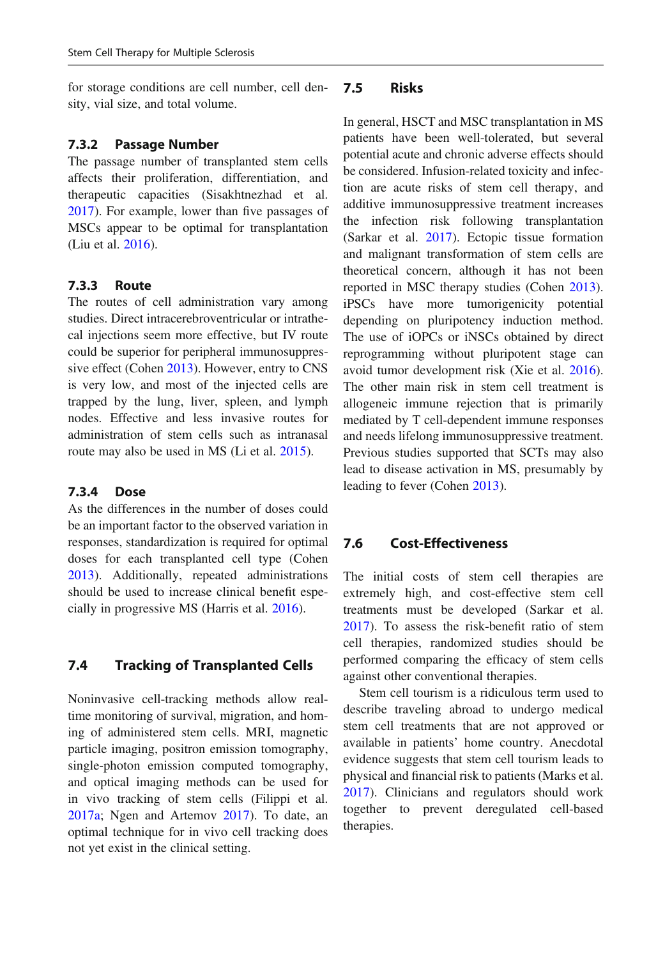for storage conditions are cell number, cell density, vial size, and total volume.

#### 7.3.2 Passage Number

The passage number of transplanted stem cells affects their proliferation, differentiation, and therapeutic capacities (Sisakhtnezhad et al. [2017\)](#page-28-18). For example, lower than five passages of MSCs appear to be optimal for transplantation (Liu et al. [2016\)](#page-26-0).

# 7.3.3 Route

The routes of cell administration vary among studies. Direct intracerebroventricular or intrathecal injections seem more effective, but IV route could be superior for peripheral immunosuppressive effect (Cohen [2013](#page-24-19)). However, entry to CNS is very low, and most of the injected cells are trapped by the lung, liver, spleen, and lymph nodes. Effective and less invasive routes for administration of stem cells such as intranasal route may also be used in MS (Li et al. [2015](#page-26-10)).

#### 7.3.4 Dose

As the differences in the number of doses could be an important factor to the observed variation in responses, standardization is required for optimal doses for each transplanted cell type (Cohen [2013\)](#page-24-19). Additionally, repeated administrations should be used to increase clinical benefit especially in progressive MS (Harris et al. [2016](#page-25-13)).

# 7.4 Tracking of Transplanted Cells

Noninvasive cell-tracking methods allow realtime monitoring of survival, migration, and homing of administered stem cells. MRI, magnetic particle imaging, positron emission tomography, single-photon emission computed tomography, and optical imaging methods can be used for in vivo tracking of stem cells (Filippi et al. [2017a](#page-24-20); Ngen and Artemov [2017\)](#page-27-17). To date, an optimal technique for in vivo cell tracking does not yet exist in the clinical setting.

### 7.5 Risks

In general, HSCT and MSC transplantation in MS patients have been well-tolerated, but several potential acute and chronic adverse effects should be considered. Infusion-related toxicity and infection are acute risks of stem cell therapy, and additive immunosuppressive treatment increases the infection risk following transplantation (Sarkar et al. [2017\)](#page-28-7). Ectopic tissue formation and malignant transformation of stem cells are theoretical concern, although it has not been reported in MSC therapy studies (Cohen [2013\)](#page-24-19). iPSCs have more tumorigenicity potential depending on pluripotency induction method. The use of iOPCs or iNSCs obtained by direct reprogramming without pluripotent stage can avoid tumor development risk (Xie et al. [2016\)](#page-29-21). The other main risk in stem cell treatment is allogeneic immune rejection that is primarily mediated by T cell-dependent immune responses and needs lifelong immunosuppressive treatment. Previous studies supported that SCTs may also lead to disease activation in MS, presumably by leading to fever (Cohen [2013](#page-24-19)).

# 7.6 Cost-Effectiveness

The initial costs of stem cell therapies are extremely high, and cost-effective stem cell treatments must be developed (Sarkar et al. [2017\)](#page-28-7). To assess the risk-benefit ratio of stem cell therapies, randomized studies should be performed comparing the efficacy of stem cells against other conventional therapies.

Stem cell tourism is a ridiculous term used to describe traveling abroad to undergo medical stem cell treatments that are not approved or available in patients' home country. Anecdotal evidence suggests that stem cell tourism leads to physical and financial risk to patients (Marks et al. [2017\)](#page-27-5). Clinicians and regulators should work together to prevent deregulated cell-based therapies.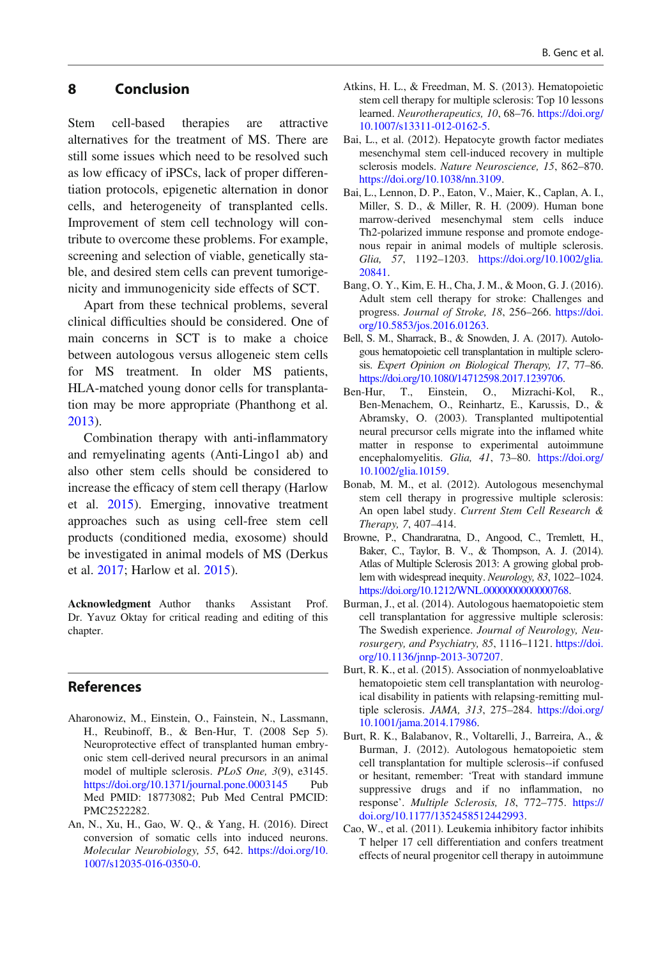## <span id="page-23-3"></span>8 Conclusion

<span id="page-23-9"></span><span id="page-23-7"></span>Stem cell-based therapies are attractive alternatives for the treatment of MS. There are still some issues which need to be resolved such as low efficacy of iPSCs, lack of proper differentiation protocols, epigenetic alternation in donor cells, and heterogeneity of transplanted cells. Improvement of stem cell technology will contribute to overcome these problems. For example, screening and selection of viable, genetically stable, and desired stem cells can prevent tumorigenicity and immunogenicity side effects of SCT.

<span id="page-23-13"></span><span id="page-23-2"></span>Apart from these technical problems, several clinical difficulties should be considered. One of main concerns in SCT is to make a choice between autologous versus allogeneic stem cells for MS treatment. In older MS patients, HLA-matched young donor cells for transplantation may be more appropriate (Phanthong et al. [2013\)](#page-27-18).

<span id="page-23-10"></span><span id="page-23-8"></span>Combination therapy with anti-inflammatory and remyelinating agents (Anti-Lingo1 ab) and also other stem cells should be considered to increase the efficacy of stem cell therapy (Harlow et al. [2015\)](#page-25-20). Emerging, innovative treatment approaches such as using cell-free stem cell products (conditioned media, exosome) should be investigated in animal models of MS (Derkus et al. [2017](#page-24-21); Harlow et al. [2015](#page-25-20)).

<span id="page-23-4"></span><span id="page-23-0"></span>Acknowledgment Author thanks Assistant Prof. Dr. Yavuz Oktay for critical reading and editing of this chapter.

# <span id="page-23-5"></span>References

- <span id="page-23-11"></span><span id="page-23-6"></span>Aharonowiz, M., Einstein, O., Fainstein, N., Lassmann, H., Reubinoff, B., & Ben-Hur, T. (2008 Sep 5). Neuroprotective effect of transplanted human embryonic stem cell-derived neural precursors in an animal model of multiple sclerosis. PLoS One, 3(9), e3145. <https://doi.org/10.1371/journal.pone.0003145> Pub Med PMID: 18773082; Pub Med Central PMCID: PMC2522282.
- <span id="page-23-12"></span><span id="page-23-1"></span>An, N., Xu, H., Gao, W. Q., & Yang, H. (2016). Direct conversion of somatic cells into induced neurons. Molecular Neurobiology, 55, 642. [https://doi.org/10.](https://doi.org/10.1007/s12035-016-0350-0) [1007/s12035-016-0350-0.](https://doi.org/10.1007/s12035-016-0350-0)
- Atkins, H. L., & Freedman, M. S. (2013). Hematopoietic stem cell therapy for multiple sclerosis: Top 10 lessons learned. Neurotherapeutics, 10, 68–76. [https://doi.org/](https://doi.org/10.1007/s13311-012-0162-5) [10.1007/s13311-012-0162-5](https://doi.org/10.1007/s13311-012-0162-5).
- Bai, L., et al. (2012). Hepatocyte growth factor mediates mesenchymal stem cell-induced recovery in multiple sclerosis models. Nature Neuroscience, 15, 862–870. [https://doi.org/10.1038/nn.3109.](https://doi.org/10.1038/nn.3109)
- Bai, L., Lennon, D. P., Eaton, V., Maier, K., Caplan, A. I., Miller, S. D., & Miller, R. H. (2009). Human bone marrow-derived mesenchymal stem cells induce Th2-polarized immune response and promote endogenous repair in animal models of multiple sclerosis. Glia, 57, 1192–1203. [https://doi.org/10.1002/glia.](https://doi.org/10.1002/glia.20841) [20841](https://doi.org/10.1002/glia.20841).
- Bang, O. Y., Kim, E. H., Cha, J. M., & Moon, G. J. (2016). Adult stem cell therapy for stroke: Challenges and progress. Journal of Stroke, 18, 256–266. [https://doi.](https://doi.org/10.5853/jos.2016.01263) [org/10.5853/jos.2016.01263](https://doi.org/10.5853/jos.2016.01263).
- Bell, S. M., Sharrack, B., & Snowden, J. A. (2017). Autologous hematopoietic cell transplantation in multiple sclerosis. Expert Opinion on Biological Therapy, 17, 77–86. [https://doi.org/10.1080/14712598.2017.1239706.](https://doi.org/10.1080/14712598.2017.1239706)
- Ben-Hur, T., Einstein, O., Mizrachi-Kol, R., Ben-Menachem, O., Reinhartz, E., Karussis, D., & Abramsky, O. (2003). Transplanted multipotential neural precursor cells migrate into the inflamed white matter in response to experimental autoimmune encephalomyelitis. Glia, 41, 73–80. [https://doi.org/](https://doi.org/10.1002/glia.10159) [10.1002/glia.10159.](https://doi.org/10.1002/glia.10159)
- Bonab, M. M., et al. (2012). Autologous mesenchymal stem cell therapy in progressive multiple sclerosis: An open label study. Current Stem Cell Research & Therapy, 7, 407–414.
- Browne, P., Chandraratna, D., Angood, C., Tremlett, H., Baker, C., Taylor, B. V., & Thompson, A. J. (2014). Atlas of Multiple Sclerosis 2013: A growing global problem with widespread inequity. Neurology, 83, 1022–1024. <https://doi.org/10.1212/WNL.0000000000000768>.
- Burman, J., et al. (2014). Autologous haematopoietic stem cell transplantation for aggressive multiple sclerosis: The Swedish experience. Journal of Neurology, Neurosurgery, and Psychiatry, 85, 1116–1121. [https://doi.](https://doi.org/10.1136/jnnp-2013-307207) [org/10.1136/jnnp-2013-307207](https://doi.org/10.1136/jnnp-2013-307207).
- Burt, R. K., et al. (2015). Association of nonmyeloablative hematopoietic stem cell transplantation with neurological disability in patients with relapsing-remitting multiple sclerosis. JAMA, 313, 275–284. [https://doi.org/](https://doi.org/10.1001/jama.2014.17986) [10.1001/jama.2014.17986](https://doi.org/10.1001/jama.2014.17986).
- Burt, R. K., Balabanov, R., Voltarelli, J., Barreira, A., & Burman, J. (2012). Autologous hematopoietic stem cell transplantation for multiple sclerosis--if confused or hesitant, remember: 'Treat with standard immune suppressive drugs and if no inflammation, no response'. Multiple Sclerosis, 18, 772–775. [https://](https://doi.org/10.1177/1352458512442993) [doi.org/10.1177/1352458512442993.](https://doi.org/10.1177/1352458512442993)
- Cao, W., et al. (2011). Leukemia inhibitory factor inhibits T helper 17 cell differentiation and confers treatment effects of neural progenitor cell therapy in autoimmune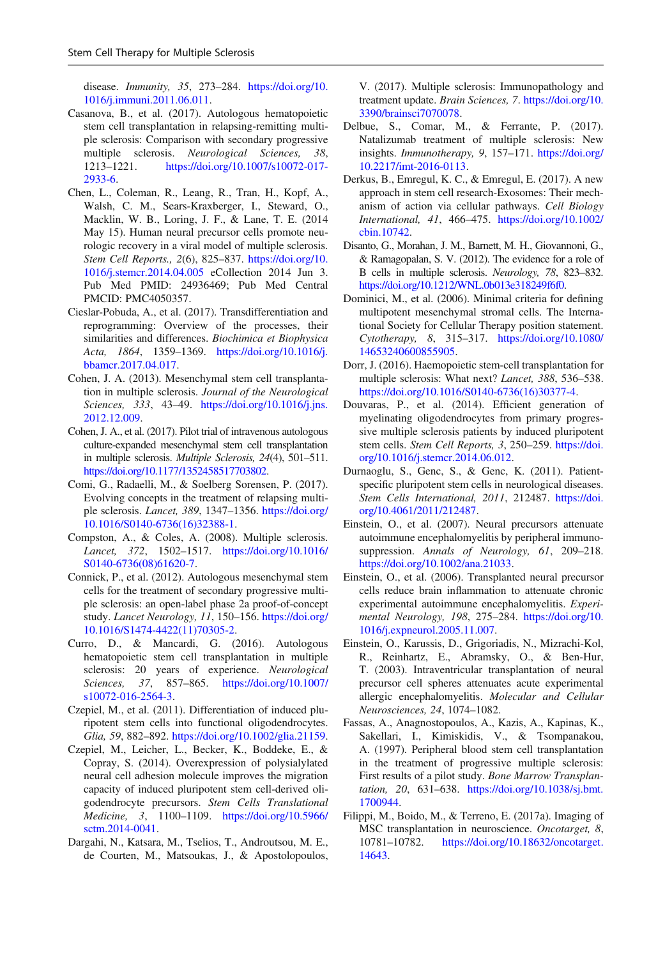disease. Immunity, 35, 273–284. [https://doi.org/10.](https://doi.org/10.1016/j.immuni.2011.06.011) [1016/j.immuni.2011.06.011](https://doi.org/10.1016/j.immuni.2011.06.011).

- <span id="page-24-9"></span><span id="page-24-5"></span>Casanova, B., et al. (2017). Autologous hematopoietic stem cell transplantation in relapsing-remitting multiple sclerosis: Comparison with secondary progressive multiple sclerosis. Neurological Sciences, 38, 1213–1221. [https://doi.org/10.1007/s10072-017-](https://doi.org/10.1007/s10072-017-2933-6) [2933-6.](https://doi.org/10.1007/s10072-017-2933-6)
- <span id="page-24-21"></span><span id="page-24-14"></span><span id="page-24-2"></span>Chen, L., Coleman, R., Leang, R., Tran, H., Kopf, A., Walsh, C. M., Sears-Kraxberger, I., Steward, O., Macklin, W. B., Loring, J. F., & Lane, T. E. (2014 May 15). Human neural precursor cells promote neurologic recovery in a viral model of multiple sclerosis. Stem Cell Reports., 2(6), 825–837. [https://doi.org/10.](https://doi.org/10.1016/j.stemcr.2014.04.005) [1016/j.stemcr.2014.04.005](https://doi.org/10.1016/j.stemcr.2014.04.005) eCollection 2014 Jun 3. Pub Med PMID: 24936469; Pub Med Central PMCID: PMC4050357.
- <span id="page-24-11"></span><span id="page-24-6"></span>Cieslar-Pobuda, A., et al. (2017). Transdifferentiation and reprogramming: Overview of the processes, their similarities and differences. Biochimica et Biophysica Acta, 1864, 1359–1369. [https://doi.org/10.1016/j.](https://doi.org/10.1016/j.bbamcr.2017.04.017) [bbamcr.2017.04.017.](https://doi.org/10.1016/j.bbamcr.2017.04.017)
- <span id="page-24-19"></span><span id="page-24-17"></span><span id="page-24-8"></span>Cohen, J. A. (2013). Mesenchymal stem cell transplantation in multiple sclerosis. Journal of the Neurological Sciences, 333, 43–49. [https://doi.org/10.1016/j.jns.](https://doi.org/10.1016/j.jns.2012.12.009) [2012.12.009](https://doi.org/10.1016/j.jns.2012.12.009).
- <span id="page-24-12"></span>Cohen, J. A., et al. (2017). Pilot trial of intravenous autologous culture-expanded mesenchymal stem cell transplantation in multiple sclerosis. Multiple Sclerosis, 24(4), 501–511. <https://doi.org/10.1177/1352458517703802>.
- <span id="page-24-15"></span><span id="page-24-4"></span>Comi, G., Radaelli, M., & Soelberg Sorensen, P. (2017). Evolving concepts in the treatment of relapsing multiple sclerosis. Lancet, 389, 1347–1356. [https://doi.org/](https://doi.org/10.1016/S0140-6736(16)32388-1) [10.1016/S0140-6736\(16\)32388-1](https://doi.org/10.1016/S0140-6736(16)32388-1).
- <span id="page-24-13"></span><span id="page-24-0"></span>Compston, A., & Coles, A. (2008). Multiple sclerosis. Lancet, 372, 1502–1517. [https://doi.org/10.1016/](https://doi.org/10.1016/S0140-6736(08)61620-7) [S0140-6736\(08\)61620-7](https://doi.org/10.1016/S0140-6736(08)61620-7).
- <span id="page-24-3"></span>Connick, P., et al. (2012). Autologous mesenchymal stem cells for the treatment of secondary progressive multiple sclerosis: an open-label phase 2a proof-of-concept study. Lancet Neurology, 11, 150–156. [https://doi.org/](https://doi.org/10.1016/S1474-4422(11)70305-2) [10.1016/S1474-4422\(11\)70305-2](https://doi.org/10.1016/S1474-4422(11)70305-2).
- <span id="page-24-10"></span>Curro, D., & Mancardi, G. (2016). Autologous hematopoietic stem cell transplantation in multiple sclerosis: 20 years of experience. Neurological Sciences, 37, 857–865. [https://doi.org/10.1007/](https://doi.org/10.1007/s10072-016-2564-3) [s10072-016-2564-3](https://doi.org/10.1007/s10072-016-2564-3).
- <span id="page-24-16"></span><span id="page-24-7"></span>Czepiel, M., et al. (2011). Differentiation of induced pluripotent stem cells into functional oligodendrocytes. Glia, 59, 882–892. [https://doi.org/10.1002/glia.21159.](https://doi.org/10.1002/glia.21159)
- <span id="page-24-18"></span>Czepiel, M., Leicher, L., Becker, K., Boddeke, E., & Copray, S. (2014). Overexpression of polysialylated neural cell adhesion molecule improves the migration capacity of induced pluripotent stem cell-derived oligodendrocyte precursors. Stem Cells Translational Medicine, 3, 1100–1109. [https://doi.org/10.5966/](https://doi.org/10.5966/sctm.2014-0041) [sctm.2014-0041.](https://doi.org/10.5966/sctm.2014-0041)
- <span id="page-24-20"></span><span id="page-24-1"></span>Dargahi, N., Katsara, M., Tselios, T., Androutsou, M. E., de Courten, M., Matsoukas, J., & Apostolopoulos,

V. (2017). Multiple sclerosis: Immunopathology and treatment update. Brain Sciences, 7. [https://doi.org/10.](https://doi.org/10.3390/brainsci7070078) [3390/brainsci7070078](https://doi.org/10.3390/brainsci7070078).

- Delbue, S., Comar, M., & Ferrante, P. (2017). Natalizumab treatment of multiple sclerosis: New insights. Immunotherapy, 9, 157–171. [https://doi.org/](https://doi.org/10.2217/imt-2016-0113) [10.2217/imt-2016-0113](https://doi.org/10.2217/imt-2016-0113).
- Derkus, B., Emregul, K. C., & Emregul, E. (2017). A new approach in stem cell research-Exosomes: Their mechanism of action via cellular pathways. Cell Biology International, 41, 466–475. [https://doi.org/10.1002/](https://doi.org/10.1002/cbin.10742) [cbin.10742.](https://doi.org/10.1002/cbin.10742)
- Disanto, G., Morahan, J. M., Barnett, M. H., Giovannoni, G., & Ramagopalan, S. V. (2012). The evidence for a role of B cells in multiple sclerosis. Neurology, 78, 823–832. [https://doi.org/10.1212/WNL.0b013e318249f6f0.](https://doi.org/10.1212/WNL.0b013e318249f6f0)
- Dominici, M., et al. (2006). Minimal criteria for defining multipotent mesenchymal stromal cells. The International Society for Cellular Therapy position statement. Cytotherapy, 8, 315–317. [https://doi.org/10.1080/](https://doi.org/10.1080/14653240600855905) [14653240600855905.](https://doi.org/10.1080/14653240600855905)
- Dorr, J. (2016). Haemopoietic stem-cell transplantation for multiple sclerosis: What next? Lancet, 388, 536–538. [https://doi.org/10.1016/S0140-6736\(16\)30377-4.](https://doi.org/10.1016/S0140-6736(16)30377-4)
- Douvaras, P., et al. (2014). Efficient generation of myelinating oligodendrocytes from primary progressive multiple sclerosis patients by induced pluripotent stem cells. Stem Cell Reports, 3, 250-259. [https://doi.](https://doi.org/10.1016/j.stemcr.2014.06.012) [org/10.1016/j.stemcr.2014.06.012](https://doi.org/10.1016/j.stemcr.2014.06.012).
- Durnaoglu, S., Genc, S., & Genc, K. (2011). Patientspecific pluripotent stem cells in neurological diseases. Stem Cells International, 2011, 212487. [https://doi.](https://doi.org/10.4061/2011/212487) [org/10.4061/2011/212487.](https://doi.org/10.4061/2011/212487)
- Einstein, O., et al. (2007). Neural precursors attenuate autoimmune encephalomyelitis by peripheral immunosuppression. Annals of Neurology, 61, 209-218. <https://doi.org/10.1002/ana.21033>.
- Einstein, O., et al. (2006). Transplanted neural precursor cells reduce brain inflammation to attenuate chronic experimental autoimmune encephalomyelitis. Experimental Neurology, 198, 275–284. [https://doi.org/10.](https://doi.org/10.1016/j.expneurol.2005.11.007) [1016/j.expneurol.2005.11.007.](https://doi.org/10.1016/j.expneurol.2005.11.007)
- Einstein, O., Karussis, D., Grigoriadis, N., Mizrachi-Kol, R., Reinhartz, E., Abramsky, O., & Ben-Hur, T. (2003). Intraventricular transplantation of neural precursor cell spheres attenuates acute experimental allergic encephalomyelitis. Molecular and Cellular Neurosciences, 24, 1074–1082.
- Fassas, A., Anagnostopoulos, A., Kazis, A., Kapinas, K., Sakellari, I., Kimiskidis, V., & Tsompanakou, A. (1997). Peripheral blood stem cell transplantation in the treatment of progressive multiple sclerosis: First results of a pilot study. Bone Marrow Transplantation, 20, 631–638. [https://doi.org/10.1038/sj.bmt.](https://doi.org/10.1038/sj.bmt.1700944) [1700944.](https://doi.org/10.1038/sj.bmt.1700944)
- Filippi, M., Boido, M., & Terreno, E. (2017a). Imaging of MSC transplantation in neuroscience. Oncotarget, 8, 10781–10782. [https://doi.org/10.18632/oncotarget.](https://doi.org/10.18632/oncotarget.14643) [14643](https://doi.org/10.18632/oncotarget.14643).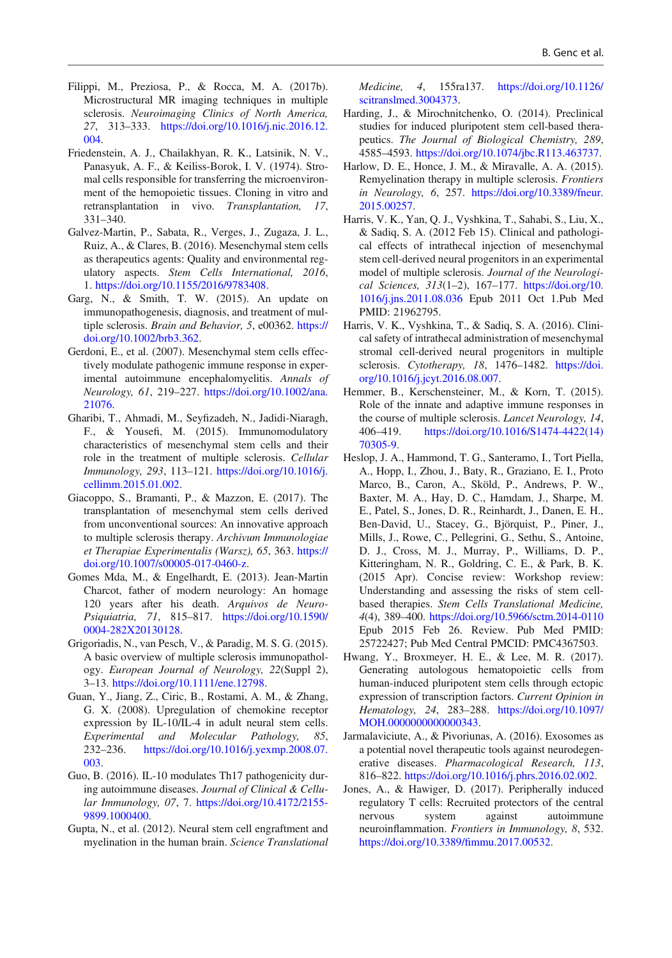- <span id="page-25-18"></span><span id="page-25-2"></span>Filippi, M., Preziosa, P., & Rocca, M. A. (2017b). Microstructural MR imaging techniques in multiple sclerosis. Neuroimaging Clinics of North America, 27, 313–333. [https://doi.org/10.1016/j.nic.2016.12.](https://doi.org/10.1016/j.nic.2016.12.004) [004.](https://doi.org/10.1016/j.nic.2016.12.004)
- <span id="page-25-20"></span><span id="page-25-9"></span>Friedenstein, A. J., Chailakhyan, R. K., Latsinik, N. V., Panasyuk, A. F., & Keiliss-Borok, I. V. (1974). Stromal cells responsible for transferring the microenvironment of the hemopoietic tissues. Cloning in vitro and retransplantation in vivo. Transplantation, 17, 331–340.
- <span id="page-25-19"></span><span id="page-25-15"></span>Galvez-Martin, P., Sabata, R., Verges, J., Zugaza, J. L., Ruiz, A., & Clares, B. (2016). Mesenchymal stem cells as therapeutics agents: Quality and environmental regulatory aspects. Stem Cells International, 2016, 1. <https://doi.org/10.1155/2016/9783408>.
- <span id="page-25-13"></span><span id="page-25-1"></span>Garg, N., & Smith, T. W. (2015). An update on immunopathogenesis, diagnosis, and treatment of multiple sclerosis. Brain and Behavior, 5, e00362. [https://](https://doi.org/10.1002/brb3.362) [doi.org/10.1002/brb3.362](https://doi.org/10.1002/brb3.362).
- <span id="page-25-12"></span>Gerdoni, E., et al. (2007). Mesenchymal stem cells effectively modulate pathogenic immune response in experimental autoimmune encephalomyelitis. Annals of Neurology, 61, 219–227. [https://doi.org/10.1002/ana.](https://doi.org/10.1002/ana.21076) [21076](https://doi.org/10.1002/ana.21076).
- <span id="page-25-10"></span><span id="page-25-7"></span><span id="page-25-3"></span>Gharibi, T., Ahmadi, M., Seyfizadeh, N., Jadidi-Niaragh, F., & Yousefi, M. (2015). Immunomodulatory characteristics of mesenchymal stem cells and their role in the treatment of multiple sclerosis. Cellular Immunology, 293, 113–121. [https://doi.org/10.1016/j.](https://doi.org/10.1016/j.cellimm.2015.01.002) [cellimm.2015.01.002.](https://doi.org/10.1016/j.cellimm.2015.01.002)
- <span id="page-25-11"></span>Giacoppo, S., Bramanti, P., & Mazzon, E. (2017). The transplantation of mesenchymal stem cells derived from unconventional sources: An innovative approach to multiple sclerosis therapy. Archivum Immunologiae et Therapiae Experimentalis (Warsz), 65, 363. [https://](https://doi.org/10.1007/s00005-017-0460-z) [doi.org/10.1007/s00005-017-0460-z](https://doi.org/10.1007/s00005-017-0460-z).
- <span id="page-25-0"></span>Gomes Mda, M., & Engelhardt, E. (2013). Jean-Martin Charcot, father of modern neurology: An homage 120 years after his death. Arquivos de Neuro-Psiquiatria, 71, 815–817. [https://doi.org/10.1590/](https://doi.org/10.1590/0004-282X20130128) [0004-282X20130128](https://doi.org/10.1590/0004-282X20130128).
- <span id="page-25-8"></span><span id="page-25-5"></span>Grigoriadis, N., van Pesch, V., & Paradig, M. S. G. (2015). A basic overview of multiple sclerosis immunopathology. European Journal of Neurology, 22(Suppl 2), 3–13. [https://doi.org/10.1111/ene.12798.](https://doi.org/10.1111/ene.12798)
- <span id="page-25-16"></span><span id="page-25-14"></span>Guan, Y., Jiang, Z., Ciric, B., Rostami, A. M., & Zhang, G. X. (2008). Upregulation of chemokine receptor expression by IL-10/IL-4 in adult neural stem cells. Experimental and Molecular Pathology, 85, 232–236. [https://doi.org/10.1016/j.yexmp.2008.07.](https://doi.org/10.1016/j.yexmp.2008.07.003) [003.](https://doi.org/10.1016/j.yexmp.2008.07.003)
- <span id="page-25-6"></span><span id="page-25-4"></span>Guo, B. (2016). IL-10 modulates Th17 pathogenicity during autoimmune diseases. Journal of Clinical & Cellular Immunology, 07, 7. [https://doi.org/10.4172/2155-](https://doi.org/10.4172/2155-9899.1000400) [9899.1000400.](https://doi.org/10.4172/2155-9899.1000400)
- <span id="page-25-17"></span>Gupta, N., et al. (2012). Neural stem cell engraftment and myelination in the human brain. Science Translational

Medicine, 4, 155ra137. [https://doi.org/10.1126/](https://doi.org/10.1126/scitranslmed.3004373) [scitranslmed.3004373.](https://doi.org/10.1126/scitranslmed.3004373)

- Harding, J., & Mirochnitchenko, O. (2014). Preclinical studies for induced pluripotent stem cell-based therapeutics. The Journal of Biological Chemistry, 289, 4585–4593. <https://doi.org/10.1074/jbc.R113.463737>.
- Harlow, D. E., Honce, J. M., & Miravalle, A. A. (2015). Remyelination therapy in multiple sclerosis. Frontiers in Neurology, 6, 257. [https://doi.org/10.3389/fneur.](https://doi.org/10.3389/fneur.2015.00257) [2015.00257](https://doi.org/10.3389/fneur.2015.00257).
- Harris, V. K., Yan, Q. J., Vyshkina, T., Sahabi, S., Liu, X., & Sadiq, S. A. (2012 Feb 15). Clinical and pathological effects of intrathecal injection of mesenchymal stem cell-derived neural progenitors in an experimental model of multiple sclerosis. Journal of the Neurological Sciences, 313(1–2), 167–177. [https://doi.org/10.](https://doi.org/10.1016/j.jns.2011.08.036) [1016/j.jns.2011.08.036](https://doi.org/10.1016/j.jns.2011.08.036) Epub 2011 Oct 1.Pub Med PMID: 21962795.
- Harris, V. K., Vyshkina, T., & Sadiq, S. A. (2016). Clinical safety of intrathecal administration of mesenchymal stromal cell-derived neural progenitors in multiple sclerosis. Cytotherapy, 18, 1476-1482. [https://doi.](https://doi.org/10.1016/j.jcyt.2016.08.007) [org/10.1016/j.jcyt.2016.08.007.](https://doi.org/10.1016/j.jcyt.2016.08.007)
- Hemmer, B., Kerschensteiner, M., & Korn, T. (2015). Role of the innate and adaptive immune responses in the course of multiple sclerosis. Lancet Neurology, 14, 406–419. [https://doi.org/10.1016/S1474-4422\(14\)](https://doi.org/10.1016/S1474-4422(14)70305-9) [70305-9](https://doi.org/10.1016/S1474-4422(14)70305-9).
- Heslop, J. A., Hammond, T. G., Santeramo, I., Tort Piella, A., Hopp, I., Zhou, J., Baty, R., Graziano, E. I., Proto Marco, B., Caron, A., Sköld, P., Andrews, P. W., Baxter, M. A., Hay, D. C., Hamdam, J., Sharpe, M. E., Patel, S., Jones, D. R., Reinhardt, J., Danen, E. H., Ben-David, U., Stacey, G., Björquist, P., Piner, J., Mills, J., Rowe, C., Pellegrini, G., Sethu, S., Antoine, D. J., Cross, M. J., Murray, P., Williams, D. P., Kitteringham, N. R., Goldring, C. E., & Park, B. K. (2015 Apr). Concise review: Workshop review: Understanding and assessing the risks of stem cellbased therapies. Stem Cells Translational Medicine, 4(4), 389–400. <https://doi.org/10.5966/sctm.2014-0110> Epub 2015 Feb 26. Review. Pub Med PMID: 25722427; Pub Med Central PMCID: PMC4367503.
- Hwang, Y., Broxmeyer, H. E., & Lee, M. R. (2017). Generating autologous hematopoietic cells from human-induced pluripotent stem cells through ectopic expression of transcription factors. Current Opinion in Hematology, 24, 283–288. [https://doi.org/10.1097/](https://doi.org/10.1097/MOH.0000000000000343) [MOH.0000000000000343](https://doi.org/10.1097/MOH.0000000000000343).
- Jarmalaviciute, A., & Pivoriunas, A. (2016). Exosomes as a potential novel therapeutic tools against neurodegenerative diseases. Pharmacological Research, 113, 816–822. [https://doi.org/10.1016/j.phrs.2016.02.002.](https://doi.org/10.1016/j.phrs.2016.02.002)
- Jones, A., & Hawiger, D. (2017). Peripherally induced regulatory T cells: Recruited protectors of the central nervous system against autoimmune neuroinflammation. Frontiers in Immunology, 8, 532. [https://doi.org/10.3389/](https://doi.org/10.3389/fimmu.2017.00532)fimmu.2017.00532.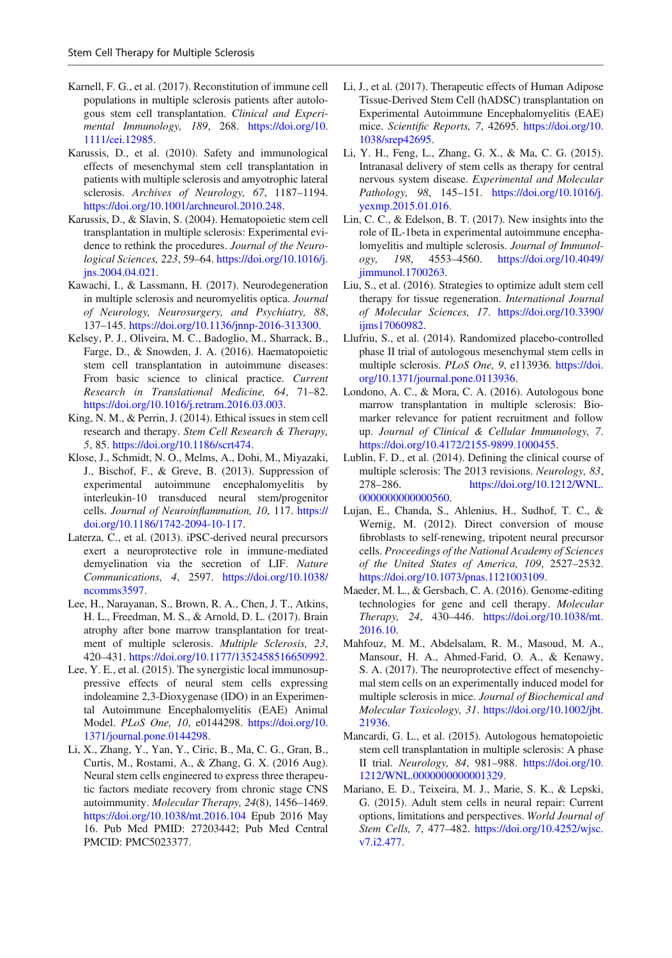- <span id="page-26-8"></span>Karnell, F. G., et al. (2017). Reconstitution of immune cell populations in multiple sclerosis patients after autologous stem cell transplantation. Clinical and Experimental Immunology, 189, 268. [https://doi.org/10.](https://doi.org/10.1111/cei.12985) [1111/cei.12985](https://doi.org/10.1111/cei.12985).
- <span id="page-26-10"></span>Karussis, D., et al. (2010). Safety and immunological effects of mesenchymal stem cell transplantation in patients with multiple sclerosis and amyotrophic lateral sclerosis. Archives of Neurology, 67, 1187-1194. <https://doi.org/10.1001/archneurol.2010.248>.
- <span id="page-26-2"></span>Karussis, D., & Slavin, S. (2004). Hematopoietic stem cell transplantation in multiple sclerosis: Experimental evidence to rethink the procedures. Journal of the Neurological Sciences, 223, 59–64. [https://doi.org/10.1016/j.](https://doi.org/10.1016/j.jns.2004.04.021) [jns.2004.04.021](https://doi.org/10.1016/j.jns.2004.04.021).
- <span id="page-26-0"></span>Kawachi, I., & Lassmann, H. (2017). Neurodegeneration in multiple sclerosis and neuromyelitis optica. Journal of Neurology, Neurosurgery, and Psychiatry, 88, 137–145. <https://doi.org/10.1136/jnnp-2016-313300>.
- <span id="page-26-9"></span>Kelsey, P. J., Oliveira, M. C., Badoglio, M., Sharrack, B., Farge, D., & Snowden, J. A. (2016). Haematopoietic stem cell transplantation in autoimmune diseases: From basic science to clinical practice. Current Research in Translational Medicine, 64, 71–82. [https://doi.org/10.1016/j.retram.2016.03.003.](https://doi.org/10.1016/j.retram.2016.03.003)
- <span id="page-26-6"></span><span id="page-26-3"></span>King, N. M., & Perrin, J. (2014). Ethical issues in stem cell research and therapy. Stem Cell Research & Therapy, 5, 85. [https://doi.org/10.1186/scrt474.](https://doi.org/10.1186/scrt474)
- <span id="page-26-1"></span>Klose, J., Schmidt, N. O., Melms, A., Dohi, M., Miyazaki, J., Bischof, F., & Greve, B. (2013). Suppression of experimental autoimmune encephalomyelitis by interleukin-10 transduced neural stem/progenitor cells. Journal of Neuroinflammation, 10, 117. [https://](https://doi.org/10.1186/1742-2094-10-117) [doi.org/10.1186/1742-2094-10-117](https://doi.org/10.1186/1742-2094-10-117).
- <span id="page-26-15"></span><span id="page-26-14"></span>Laterza, C., et al. (2013). iPSC-derived neural precursors exert a neuroprotective role in immune-mediated demyelination via the secretion of LIF. Nature Communications, 4, 2597. [https://doi.org/10.1038/](https://doi.org/10.1038/ncomms3597) [ncomms3597](https://doi.org/10.1038/ncomms3597).
- <span id="page-26-16"></span><span id="page-26-7"></span>Lee, H., Narayanan, S., Brown, R. A., Chen, J. T., Atkins, H. L., Freedman, M. S., & Arnold, D. L. (2017). Brain atrophy after bone marrow transplantation for treatment of multiple sclerosis. Multiple Sclerosis, 23, 420–431. <https://doi.org/10.1177/1352458516650992>.
- <span id="page-26-12"></span><span id="page-26-11"></span>Lee, Y. E., et al. (2015). The synergistic local immunosuppressive effects of neural stem cells expressing indoleamine 2,3-Dioxygenase (IDO) in an Experimental Autoimmune Encephalomyelitis (EAE) Animal Model. PLoS One, 10, e0144298. [https://doi.org/10.](https://doi.org/10.1371/journal.pone.0144298) [1371/journal.pone.0144298](https://doi.org/10.1371/journal.pone.0144298).
- <span id="page-26-13"></span><span id="page-26-5"></span><span id="page-26-4"></span>Li, X., Zhang, Y., Yan, Y., Ciric, B., Ma, C. G., Gran, B., Curtis, M., Rostami, A., & Zhang, G. X. (2016 Aug). Neural stem cells engineered to express three therapeutic factors mediate recovery from chronic stage CNS autoimmunity. Molecular Therapy, 24(8), 1456–1469. <https://doi.org/10.1038/mt.2016.104> Epub 2016 May 16. Pub Med PMID: 27203442; Pub Med Central PMCID: PMC5023377.
- Li, J., et al. (2017). Therapeutic effects of Human Adipose Tissue-Derived Stem Cell (hADSC) transplantation on Experimental Autoimmune Encephalomyelitis (EAE) mice. Scientific Reports, 7, 42695. [https://doi.org/10.](https://doi.org/10.1038/srep42695) [1038/srep42695](https://doi.org/10.1038/srep42695).
- Li, Y. H., Feng, L., Zhang, G. X., & Ma, C. G. (2015). Intranasal delivery of stem cells as therapy for central nervous system disease. Experimental and Molecular Pathology, 98, 145–151. [https://doi.org/10.1016/j.](https://doi.org/10.1016/j.yexmp.2015.01.016) [yexmp.2015.01.016](https://doi.org/10.1016/j.yexmp.2015.01.016).
- Lin, C. C., & Edelson, B. T. (2017). New insights into the role of IL-1beta in experimental autoimmune encephalomyelitis and multiple sclerosis. Journal of Immunology, 198, 4553–4560. [https://doi.org/10.4049/](https://doi.org/10.4049/jimmunol.1700263) [jimmunol.1700263](https://doi.org/10.4049/jimmunol.1700263).
- Liu, S., et al. (2016). Strategies to optimize adult stem cell therapy for tissue regeneration. International Journal of Molecular Sciences, 17. [https://doi.org/10.3390/](https://doi.org/10.3390/ijms17060982) [ijms17060982](https://doi.org/10.3390/ijms17060982).
- Llufriu, S., et al. (2014). Randomized placebo-controlled phase II trial of autologous mesenchymal stem cells in multiple sclerosis. PLoS One, 9, e113936. [https://doi.](https://doi.org/10.1371/journal.pone.0113936) [org/10.1371/journal.pone.0113936](https://doi.org/10.1371/journal.pone.0113936).
- Londono, A. C., & Mora, C. A. (2016). Autologous bone marrow transplantation in multiple sclerosis: Biomarker relevance for patient recruitment and follow up. Journal of Clinical & Cellular Immunology, 7. [https://doi.org/10.4172/2155-9899.1000455.](https://doi.org/10.4172/2155-9899.1000455)
- Lublin, F. D., et al. (2014). Defining the clinical course of multiple sclerosis: The 2013 revisions. Neurology, 83, 278–286. [https://doi.org/10.1212/WNL.](https://doi.org/10.1212/WNL.0000000000000560) [0000000000000560.](https://doi.org/10.1212/WNL.0000000000000560)
- Lujan, E., Chanda, S., Ahlenius, H., Sudhof, T. C., & Wernig, M. (2012). Direct conversion of mouse fibroblasts to self-renewing, tripotent neural precursor cells. Proceedings of the National Academy of Sciences of the United States of America, 109, 2527–2532. <https://doi.org/10.1073/pnas.1121003109>.
- Maeder, M. L., & Gersbach, C. A. (2016). Genome-editing technologies for gene and cell therapy. Molecular Therapy, 24, 430–446. [https://doi.org/10.1038/mt.](https://doi.org/10.1038/mt.2016.10) [2016.10](https://doi.org/10.1038/mt.2016.10).
- Mahfouz, M. M., Abdelsalam, R. M., Masoud, M. A., Mansour, H. A., Ahmed-Farid, O. A., & Kenawy, S. A. (2017). The neuroprotective effect of mesenchymal stem cells on an experimentally induced model for multiple sclerosis in mice. Journal of Biochemical and Molecular Toxicology, 31. [https://doi.org/10.1002/jbt.](https://doi.org/10.1002/jbt.21936) [21936](https://doi.org/10.1002/jbt.21936).
- Mancardi, G. L., et al. (2015). Autologous hematopoietic stem cell transplantation in multiple sclerosis: A phase II trial. Neurology, 84, 981–988. [https://doi.org/10.](https://doi.org/10.1212/WNL.0000000000001329) [1212/WNL.0000000000001329](https://doi.org/10.1212/WNL.0000000000001329).
- Mariano, E. D., Teixeira, M. J., Marie, S. K., & Lepski, G. (2015). Adult stem cells in neural repair: Current options, limitations and perspectives. World Journal of Stem Cells, 7, 477–482. [https://doi.org/10.4252/wjsc.](https://doi.org/10.4252/wjsc.v7.i2.477) [v7.i2.477.](https://doi.org/10.4252/wjsc.v7.i2.477)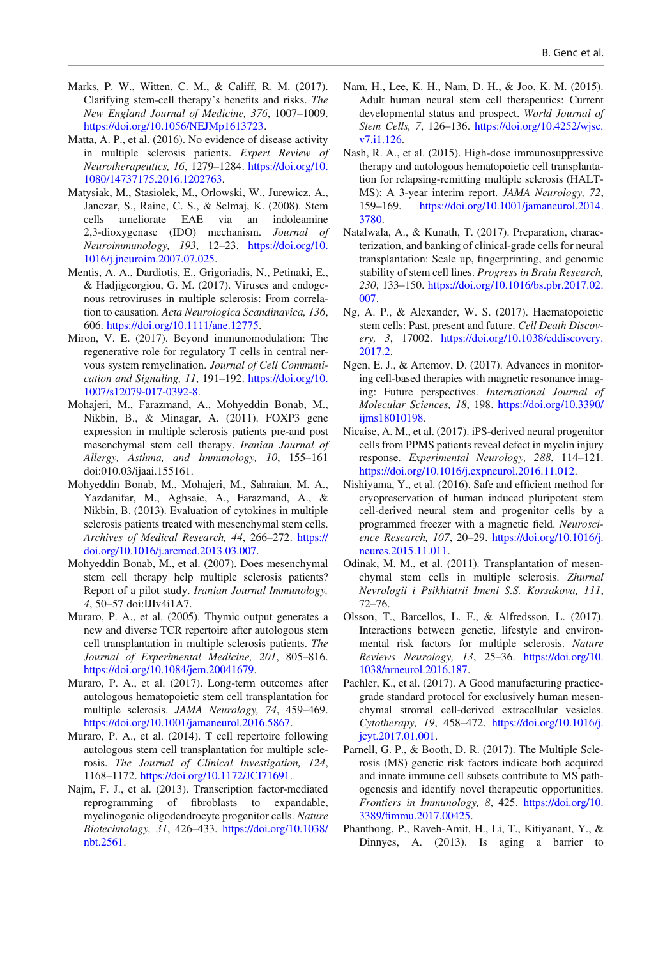- <span id="page-27-5"></span>Marks, P. W., Witten, C. M., & Califf, R. M. (2017). Clarifying stem-cell therapy's benefits and risks. The New England Journal of Medicine, 376, 1007–1009. <https://doi.org/10.1056/NEJMp1613723>.
- <span id="page-27-8"></span><span id="page-27-6"></span>Matta, A. P., et al. (2016). No evidence of disease activity in multiple sclerosis patients. Expert Review of Neurotherapeutics, 16, 1279–1284. [https://doi.org/10.](https://doi.org/10.1080/14737175.2016.1202763) [1080/14737175.2016.1202763.](https://doi.org/10.1080/14737175.2016.1202763)
- <span id="page-27-16"></span><span id="page-27-13"></span>Matysiak, M., Stasiolek, M., Orlowski, W., Jurewicz, A., Janczar, S., Raine, C. S., & Selmaj, K. (2008). Stem cells ameliorate EAE via an indoleamine 2,3-dioxygenase (IDO) mechanism. Journal of Neuroimmunology, 193, 12–23. [https://doi.org/10.](https://doi.org/10.1016/j.jneuroim.2007.07.025) [1016/j.jneuroim.2007.07.025](https://doi.org/10.1016/j.jneuroim.2007.07.025).
- <span id="page-27-2"></span>Mentis, A. A., Dardiotis, E., Grigoriadis, N., Petinaki, E., & Hadjigeorgiou, G. M. (2017). Viruses and endogenous retroviruses in multiple sclerosis: From correlation to causation. Acta Neurologica Scandinavica, 136, 606. [https://doi.org/10.1111/ane.12775.](https://doi.org/10.1111/ane.12775)
- <span id="page-27-17"></span><span id="page-27-4"></span><span id="page-27-3"></span>Miron, V. E. (2017). Beyond immunomodulation: The regenerative role for regulatory T cells in central nervous system remyelination. Journal of Cell Communication and Signaling, 11, 191–192. [https://doi.org/10.](https://doi.org/10.1007/s12079-017-0392-8) [1007/s12079-017-0392-8.](https://doi.org/10.1007/s12079-017-0392-8)
- <span id="page-27-14"></span><span id="page-27-11"></span>Mohajeri, M., Farazmand, A., Mohyeddin Bonab, M., Nikbin, B., & Minagar, A. (2011). FOXP3 gene expression in multiple sclerosis patients pre-and post mesenchymal stem cell therapy. Iranian Journal of Allergy, Asthma, and Immunology, 10, 155–161 doi:010.03/ijaai.155161.
- <span id="page-27-12"></span>Mohyeddin Bonab, M., Mohajeri, M., Sahraian, M. A., Yazdanifar, M., Aghsaie, A., Farazmand, A., & Nikbin, B. (2013). Evaluation of cytokines in multiple sclerosis patients treated with mesenchymal stem cells. Archives of Medical Research, 44, 266–272. [https://](https://doi.org/10.1016/j.arcmed.2013.03.007) [doi.org/10.1016/j.arcmed.2013.03.007.](https://doi.org/10.1016/j.arcmed.2013.03.007)
- <span id="page-27-10"></span>Mohyeddin Bonab, M., et al. (2007). Does mesenchymal stem cell therapy help multiple sclerosis patients? Report of a pilot study. Iranian Journal Immunology, 4, 50–57 doi:IJIv4i1A7.
- <span id="page-27-0"></span>Muraro, P. A., et al. (2005). Thymic output generates a new and diverse TCR repertoire after autologous stem cell transplantation in multiple sclerosis patients. The Journal of Experimental Medicine, 201, 805–816. [https://doi.org/10.1084/jem.20041679.](https://doi.org/10.1084/jem.20041679)
- <span id="page-27-7"></span>Muraro, P. A., et al. (2017). Long-term outcomes after autologous hematopoietic stem cell transplantation for multiple sclerosis. JAMA Neurology, 74, 459–469. <https://doi.org/10.1001/jamaneurol.2016.5867>.
- <span id="page-27-9"></span><span id="page-27-1"></span>Muraro, P. A., et al. (2014). T cell repertoire following autologous stem cell transplantation for multiple sclerosis. The Journal of Clinical Investigation, 124, 1168–1172. [https://doi.org/10.1172/JCI71691.](https://doi.org/10.1172/JCI71691)
- <span id="page-27-18"></span><span id="page-27-15"></span>Najm, F. J., et al. (2013). Transcription factor-mediated reprogramming of fibroblasts to expandable, myelinogenic oligodendrocyte progenitor cells. Nature Biotechnology, 31, 426–433. [https://doi.org/10.1038/](https://doi.org/10.1038/nbt.2561) [nbt.2561.](https://doi.org/10.1038/nbt.2561)
- Nam, H., Lee, K. H., Nam, D. H., & Joo, K. M. (2015). Adult human neural stem cell therapeutics: Current developmental status and prospect. World Journal of Stem Cells, 7, 126–136. [https://doi.org/10.4252/wjsc.](https://doi.org/10.4252/wjsc.v7.i1.126) [v7.i1.126.](https://doi.org/10.4252/wjsc.v7.i1.126)
- Nash, R. A., et al. (2015). High-dose immunosuppressive therapy and autologous hematopoietic cell transplantation for relapsing-remitting multiple sclerosis (HALT-MS): A 3-year interim report. JAMA Neurology, 72, 159–169. [https://doi.org/10.1001/jamaneurol.2014.](https://doi.org/10.1001/jamaneurol.2014.3780) [3780.](https://doi.org/10.1001/jamaneurol.2014.3780)
- Natalwala, A., & Kunath, T. (2017). Preparation, characterization, and banking of clinical-grade cells for neural transplantation: Scale up, fingerprinting, and genomic stability of stem cell lines. Progress in Brain Research, 230, 133–150. [https://doi.org/10.1016/bs.pbr.2017.02.](https://doi.org/10.1016/bs.pbr.2017.02.007) [007.](https://doi.org/10.1016/bs.pbr.2017.02.007)
- Ng, A. P., & Alexander, W. S. (2017). Haematopoietic stem cells: Past, present and future. Cell Death Discovery, 3, 17002. [https://doi.org/10.1038/cddiscovery.](https://doi.org/10.1038/cddiscovery.2017.2) [2017.2](https://doi.org/10.1038/cddiscovery.2017.2).
- Ngen, E. J., & Artemov, D. (2017). Advances in monitoring cell-based therapies with magnetic resonance imaging: Future perspectives. International Journal of Molecular Sciences, 18, 198. [https://doi.org/10.3390/](https://doi.org/10.3390/ijms18010198) [ijms18010198](https://doi.org/10.3390/ijms18010198).
- Nicaise, A. M., et al. (2017). iPS-derived neural progenitor cells from PPMS patients reveal defect in myelin injury response. Experimental Neurology, 288, 114–121. [https://doi.org/10.1016/j.expneurol.2016.11.012.](https://doi.org/10.1016/j.expneurol.2016.11.012)
- Nishiyama, Y., et al. (2016). Safe and efficient method for cryopreservation of human induced pluripotent stem cell-derived neural stem and progenitor cells by a programmed freezer with a magnetic field. Neuroscience Research, 107, 20–29. [https://doi.org/10.1016/j.](https://doi.org/10.1016/j.neures.2015.11.011) [neures.2015.11.011](https://doi.org/10.1016/j.neures.2015.11.011).
- Odinak, M. M., et al. (2011). Transplantation of mesenchymal stem cells in multiple sclerosis. Zhurnal Nevrologii i Psikhiatrii Imeni S.S. Korsakova, 111, 72–76.
- Olsson, T., Barcellos, L. F., & Alfredsson, L. (2017). Interactions between genetic, lifestyle and environmental risk factors for multiple sclerosis. Nature Reviews Neurology, 13, 25–36. [https://doi.org/10.](https://doi.org/10.1038/nrneurol.2016.187) [1038/nrneurol.2016.187](https://doi.org/10.1038/nrneurol.2016.187).
- Pachler, K., et al. (2017). A Good manufacturing practicegrade standard protocol for exclusively human mesenchymal stromal cell-derived extracellular vesicles. Cytotherapy, 19, 458–472. [https://doi.org/10.1016/j.](https://doi.org/10.1016/j.jcyt.2017.01.001) [jcyt.2017.01.001.](https://doi.org/10.1016/j.jcyt.2017.01.001)
- Parnell, G. P., & Booth, D. R. (2017). The Multiple Sclerosis (MS) genetic risk factors indicate both acquired and innate immune cell subsets contribute to MS pathogenesis and identify novel therapeutic opportunities. Frontiers in Immunology, 8, 425. [https://doi.org/10.](https://doi.org/10.3389/fimmu.2017.00425) 3389/fi[mmu.2017.00425](https://doi.org/10.3389/fimmu.2017.00425).
- Phanthong, P., Raveh-Amit, H., Li, T., Kitiyanant, Y., & Dinnyes, A. (2013). Is aging a barrier to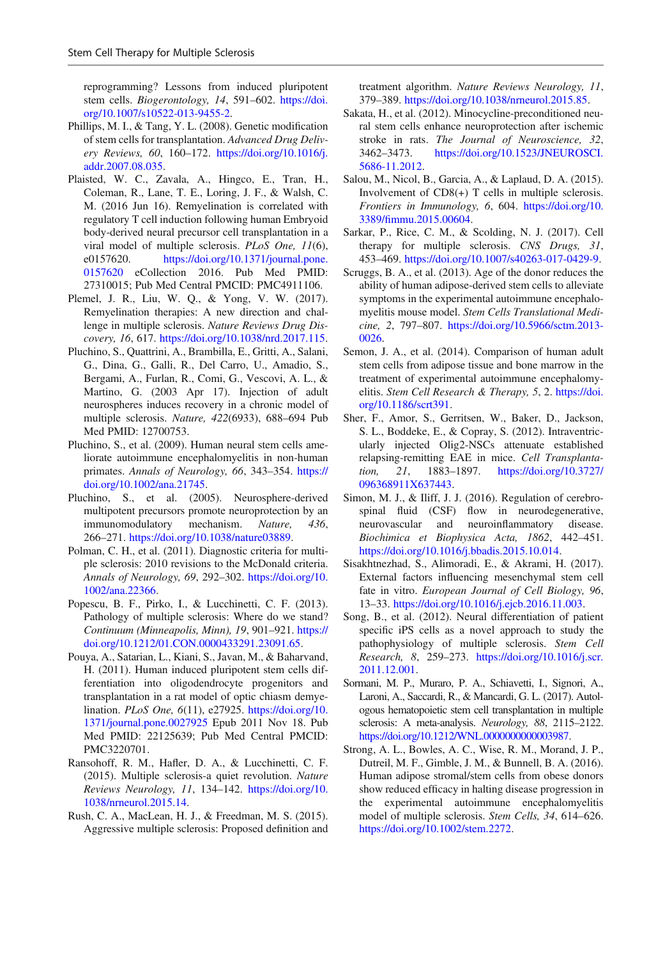reprogramming? Lessons from induced pluripotent stem cells. Biogerontology, 14, 591–602. [https://doi.](https://doi.org/10.1007/s10522-013-9455-2) [org/10.1007/s10522-013-9455-2.](https://doi.org/10.1007/s10522-013-9455-2)

- <span id="page-28-17"></span><span id="page-28-14"></span>Phillips, M. I., & Tang, Y. L. (2008). Genetic modification of stem cells for transplantation. Advanced Drug Delivery Reviews, 60, 160–172. [https://doi.org/10.1016/j.](https://doi.org/10.1016/j.addr.2007.08.035) [addr.2007.08.035](https://doi.org/10.1016/j.addr.2007.08.035).
- <span id="page-28-7"></span><span id="page-28-5"></span>Plaisted, W. C., Zavala, A., Hingco, E., Tran, H., Coleman, R., Lane, T. E., Loring, J. F., & Walsh, C. M. (2016 Jun 16). Remyelination is correlated with regulatory T cell induction following human Embryoid body-derived neural precursor cell transplantation in a viral model of multiple sclerosis. PLoS One, 11(6), e0157620. [https://doi.org/10.1371/journal.pone.](https://doi.org/10.1371/journal.pone.0157620) [0157620](https://doi.org/10.1371/journal.pone.0157620) eCollection 2016. Pub Med PMID: 27310015; Pub Med Central PMCID: PMC4911106.
- <span id="page-28-9"></span><span id="page-28-6"></span>Plemel, J. R., Liu, W. Q., & Yong, V. W. (2017). Remyelination therapies: A new direction and challenge in multiple sclerosis. Nature Reviews Drug Discovery, 16, 617. <https://doi.org/10.1038/nrd.2017.115>.
- <span id="page-28-10"></span>Pluchino, S., Quattrini, A., Brambilla, E., Gritti, A., Salani, G., Dina, G., Galli, R., Del Carro, U., Amadio, S., Bergami, A., Furlan, R., Comi, G., Vescovi, A. L., & Martino, G. (2003 Apr 17). Injection of adult neurospheres induces recovery in a chronic model of multiple sclerosis. Nature, 422(6933), 688–694 Pub Med PMID: 12700753.
- <span id="page-28-13"></span><span id="page-28-12"></span>Pluchino, S., et al. (2009). Human neural stem cells ameliorate autoimmune encephalomyelitis in non-human primates. Annals of Neurology, 66, 343-354. [https://](https://doi.org/10.1002/ana.21745) [doi.org/10.1002/ana.21745](https://doi.org/10.1002/ana.21745).
- <span id="page-28-4"></span>Pluchino, S., et al. (2005). Neurosphere-derived multipotent precursors promote neuroprotection by an immunomodulatory mechanism. Nature, 436, 266–271. [https://doi.org/10.1038/nature03889.](https://doi.org/10.1038/nature03889)
- <span id="page-28-18"></span><span id="page-28-1"></span>Polman, C. H., et al. (2011). Diagnostic criteria for multiple sclerosis: 2010 revisions to the McDonald criteria. Annals of Neurology, 69, 292-302. [https://doi.org/10.](https://doi.org/10.1002/ana.22366) [1002/ana.22366](https://doi.org/10.1002/ana.22366).
- <span id="page-28-16"></span><span id="page-28-3"></span>Popescu, B. F., Pirko, I., & Lucchinetti, C. F. (2013). Pathology of multiple sclerosis: Where do we stand? Continuum (Minneapolis, Minn), 19, 901–921. [https://](https://doi.org/10.1212/01.CON.0000433291.23091.65) [doi.org/10.1212/01.CON.0000433291.23091.65.](https://doi.org/10.1212/01.CON.0000433291.23091.65)
- <span id="page-28-15"></span><span id="page-28-8"></span>Pouya, A., Satarian, L., Kiani, S., Javan, M., & Baharvand, H. (2011). Human induced pluripotent stem cells differentiation into oligodendrocyte progenitors and transplantation in a rat model of optic chiasm demyelination. PLoS One, 6(11), e27925. [https://doi.org/10.](https://doi.org/10.1371/journal.pone.0027925) [1371/journal.pone.0027925](https://doi.org/10.1371/journal.pone.0027925) Epub 2011 Nov 18. Pub Med PMID: 22125639; Pub Med Central PMCID: PMC3220701.
- <span id="page-28-11"></span><span id="page-28-2"></span>Ransohoff, R. M., Hafler, D. A., & Lucchinetti, C. F. (2015). Multiple sclerosis-a quiet revolution. Nature Reviews Neurology, 11, 134-142. [https://doi.org/10.](https://doi.org/10.1038/nrneurol.2015.14) [1038/nrneurol.2015.14](https://doi.org/10.1038/nrneurol.2015.14).
- <span id="page-28-0"></span>Rush, C. A., MacLean, H. J., & Freedman, M. S. (2015). Aggressive multiple sclerosis: Proposed definition and

treatment algorithm. Nature Reviews Neurology, 11, 379–389. [https://doi.org/10.1038/nrneurol.2015.85.](https://doi.org/10.1038/nrneurol.2015.85)

- Sakata, H., et al. (2012). Minocycline-preconditioned neural stem cells enhance neuroprotection after ischemic stroke in rats. The Journal of Neuroscience, 32, 3462–3473. [https://doi.org/10.1523/JNEUROSCI.](https://doi.org/10.1523/JNEUROSCI.5686-11.2012) [5686-11.2012](https://doi.org/10.1523/JNEUROSCI.5686-11.2012).
- Salou, M., Nicol, B., Garcia, A., & Laplaud, D. A. (2015). Involvement of CD8(+) T cells in multiple sclerosis. Frontiers in Immunology, 6, 604. [https://doi.org/10.](https://doi.org/10.3389/fimmu.2015.00604) 3389/fi[mmu.2015.00604](https://doi.org/10.3389/fimmu.2015.00604).
- Sarkar, P., Rice, C. M., & Scolding, N. J. (2017). Cell therapy for multiple sclerosis. CNS Drugs, 31, 453–469. [https://doi.org/10.1007/s40263-017-0429-9.](https://doi.org/10.1007/s40263-017-0429-9)
- Scruggs, B. A., et al. (2013). Age of the donor reduces the ability of human adipose-derived stem cells to alleviate symptoms in the experimental autoimmune encephalomyelitis mouse model. Stem Cells Translational Medicine, 2, 797–807. [https://doi.org/10.5966/sctm.2013-](https://doi.org/10.5966/sctm.2013-0026) [0026.](https://doi.org/10.5966/sctm.2013-0026)
- Semon, J. A., et al. (2014). Comparison of human adult stem cells from adipose tissue and bone marrow in the treatment of experimental autoimmune encephalomyelitis. Stem Cell Research & Therapy, 5, 2. [https://doi.](https://doi.org/10.1186/scrt391) [org/10.1186/scrt391.](https://doi.org/10.1186/scrt391)
- Sher, F., Amor, S., Gerritsen, W., Baker, D., Jackson, S. L., Boddeke, E., & Copray, S. (2012). Intraventricularly injected Olig2-NSCs attenuate established relapsing-remitting EAE in mice. Cell Transplantation, 21, 1883–1897. [https://doi.org/10.3727/](https://doi.org/10.3727/096368911X637443) [096368911X637443.](https://doi.org/10.3727/096368911X637443)
- Simon, M. J., & Iliff, J. J. (2016). Regulation of cerebrospinal fluid (CSF) flow in neurodegenerative, neurovascular and neuroinflammatory disease. Biochimica et Biophysica Acta, 1862, 442–451. <https://doi.org/10.1016/j.bbadis.2015.10.014>.
- Sisakhtnezhad, S., Alimoradi, E., & Akrami, H. (2017). External factors influencing mesenchymal stem cell fate in vitro. European Journal of Cell Biology, 96, 13–33. [https://doi.org/10.1016/j.ejcb.2016.11.003.](https://doi.org/10.1016/j.ejcb.2016.11.003)
- Song, B., et al. (2012). Neural differentiation of patient specific iPS cells as a novel approach to study the pathophysiology of multiple sclerosis. Stem Cell Research, 8, 259–273. [https://doi.org/10.1016/j.scr.](https://doi.org/10.1016/j.scr.2011.12.001) [2011.12.001](https://doi.org/10.1016/j.scr.2011.12.001).
- Sormani, M. P., Muraro, P. A., Schiavetti, I., Signori, A., Laroni, A., Saccardi, R., & Mancardi, G. L. (2017). Autologous hematopoietic stem cell transplantation in multiple sclerosis: A meta-analysis. Neurology, 88, 2115–2122. <https://doi.org/10.1212/WNL.0000000000003987>.
- Strong, A. L., Bowles, A. C., Wise, R. M., Morand, J. P., Dutreil, M. F., Gimble, J. M., & Bunnell, B. A. (2016). Human adipose stromal/stem cells from obese donors show reduced efficacy in halting disease progression in the experimental autoimmune encephalomyelitis model of multiple sclerosis. Stem Cells, 34, 614–626. <https://doi.org/10.1002/stem.2272>.